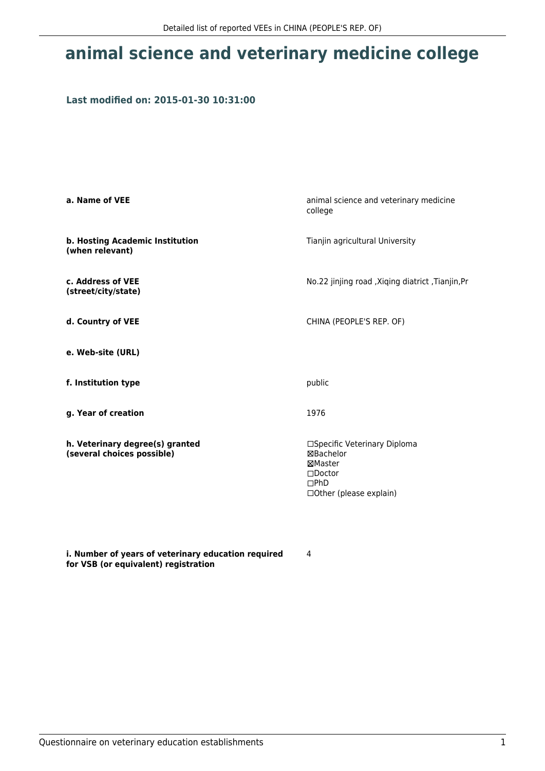## **animal science and veterinary medicine college**

### **Last modified on: 2015-01-30 10:31:00**

| a. Name of VEE                                                | animal science and veterinary medicine<br>college                                                                       |  |
|---------------------------------------------------------------|-------------------------------------------------------------------------------------------------------------------------|--|
| b. Hosting Academic Institution<br>(when relevant)            | Tianjin agricultural University                                                                                         |  |
| c. Address of VEE<br>(street/city/state)                      | No.22 jinjing road , Xiqing diatrict , Tianjin, Pr                                                                      |  |
| d. Country of VEE                                             | CHINA (PEOPLE'S REP. OF)                                                                                                |  |
| e. Web-site (URL)                                             |                                                                                                                         |  |
| f. Institution type                                           | public                                                                                                                  |  |
| g. Year of creation                                           | 1976                                                                                                                    |  |
| h. Veterinary degree(s) granted<br>(several choices possible) | □Specific Veterinary Diploma<br>⊠Bachelor<br>⊠Master<br>$\square$ Doctor<br>$\Box$ PhD<br>$\Box$ Other (please explain) |  |

**i. Number of years of veterinary education required for VSB (or equivalent) registration**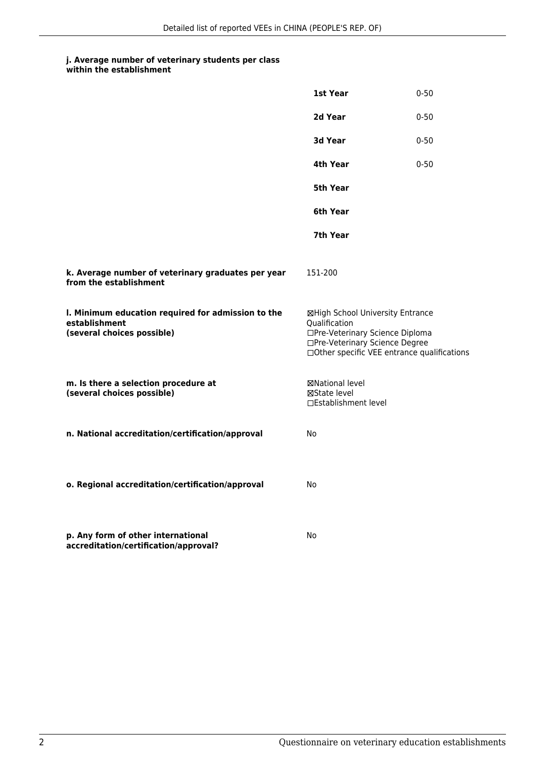#### **j. Average number of veterinary students per class within the establishment**

**k. Average number of veterinary graduates per year**

**from the establishment**

| 1st Year | $0 - 50$ |
|----------|----------|
| 2d Year  | $0 - 50$ |
| 3d Year  | $0 - 50$ |
| 4th Year | $0 - 50$ |
| 5th Year |          |
| 6th Year |          |
| 7th Year |          |
| 151-200  |          |

| I. Minimum education required for admission to the<br>establishment<br>(several choices possible) | ⊠High School University Entrance<br><b>Oualification</b><br>□Pre-Veterinary Science Diploma<br>□Pre-Veterinary Science Degree<br>$\Box$ Other specific VEE entrance qualifications |
|---------------------------------------------------------------------------------------------------|------------------------------------------------------------------------------------------------------------------------------------------------------------------------------------|
| m. Is there a selection procedure at<br>(several choices possible)                                | <b>⊠National level</b><br><b>XState level</b><br>□Establishment level                                                                                                              |
| n. National accreditation/certification/approval                                                  | No.                                                                                                                                                                                |

No

**o. Regional accreditation/certification/approval** No

**p. Any form of other international accreditation/certification/approval?**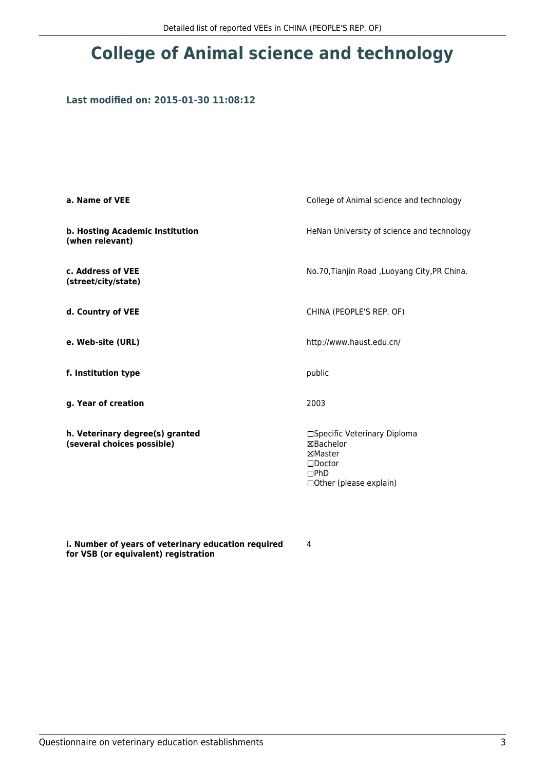# **College of Animal science and technology**

### **Last modified on: 2015-01-30 11:08:12**

| a. Name of VEE                                                | College of Animal science and technology                                                                          |  |
|---------------------------------------------------------------|-------------------------------------------------------------------------------------------------------------------|--|
| b. Hosting Academic Institution<br>(when relevant)            | HeNan University of science and technology                                                                        |  |
| c. Address of VEE<br>(street/city/state)                      | No.70, Tianjin Road, Luoyang City, PR China.                                                                      |  |
| d. Country of VEE                                             | CHINA (PEOPLE'S REP. OF)                                                                                          |  |
| e. Web-site (URL)                                             | http://www.haust.edu.cn/                                                                                          |  |
| f. Institution type                                           | public                                                                                                            |  |
| g. Year of creation                                           | 2003                                                                                                              |  |
| h. Veterinary degree(s) granted<br>(several choices possible) | □Specific Veterinary Diploma<br>⊠Bachelor<br>⊠Master<br>$\square$ Doctor<br>DPhD<br>$\Box$ Other (please explain) |  |

**i. Number of years of veterinary education required for VSB (or equivalent) registration**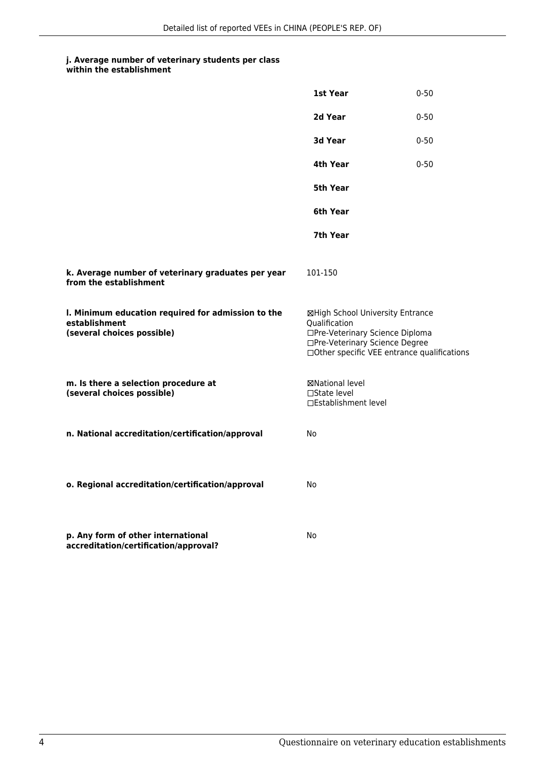|                                                                                                   | 1st Year                                                                                                                                                              | $0 - 50$ |
|---------------------------------------------------------------------------------------------------|-----------------------------------------------------------------------------------------------------------------------------------------------------------------------|----------|
|                                                                                                   | 2d Year                                                                                                                                                               | $0 - 50$ |
|                                                                                                   | <b>3d Year</b>                                                                                                                                                        | $0 - 50$ |
|                                                                                                   | 4th Year                                                                                                                                                              | $0 - 50$ |
|                                                                                                   | 5th Year                                                                                                                                                              |          |
|                                                                                                   | 6th Year                                                                                                                                                              |          |
|                                                                                                   | 7th Year                                                                                                                                                              |          |
| k. Average number of veterinary graduates per year<br>from the establishment                      | 101-150                                                                                                                                                               |          |
| I. Minimum education required for admission to the<br>establishment<br>(several choices possible) | ⊠High School University Entrance<br>Qualification<br>□Pre-Veterinary Science Diploma<br>□Pre-Veterinary Science Degree<br>□Other specific VEE entrance qualifications |          |
| m. Is there a selection procedure at<br>(several choices possible)                                | ⊠National level<br>□State level<br>□Establishment level                                                                                                               |          |
| n. National accreditation/certification/approval                                                  | No                                                                                                                                                                    |          |
| o. Regional accreditation/certification/approval                                                  | No                                                                                                                                                                    |          |
| p. Any form of other international<br>accreditation/certification/approval?                       | No                                                                                                                                                                    |          |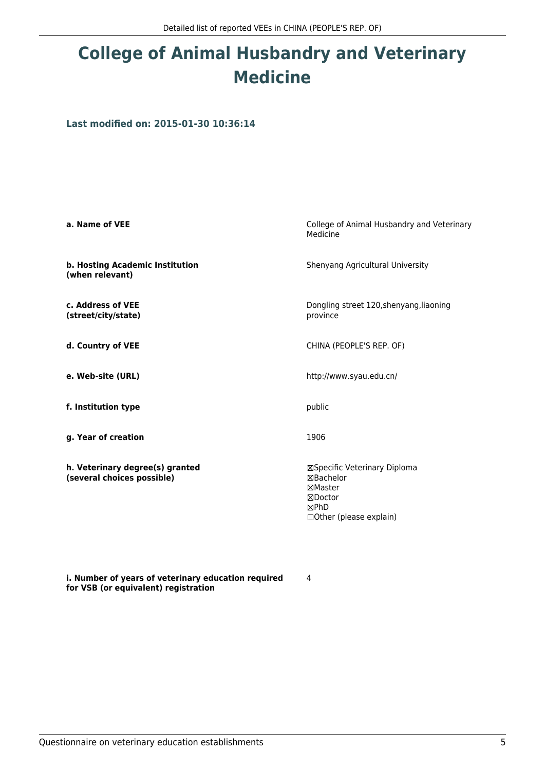## **College of Animal Husbandry and Veterinary Medicine**

**Last modified on: 2015-01-30 10:36:14**

| a. Name of VEE                                                | College of Animal Husbandry and Veterinary<br>Medicine                                              |  |
|---------------------------------------------------------------|-----------------------------------------------------------------------------------------------------|--|
| b. Hosting Academic Institution<br>(when relevant)            | Shenyang Agricultural University                                                                    |  |
| c. Address of VEE<br>(street/city/state)                      | Dongling street 120, shenyang, liaoning<br>province                                                 |  |
| d. Country of VEE                                             | CHINA (PEOPLE'S REP. OF)                                                                            |  |
| e. Web-site (URL)                                             | http://www.syau.edu.cn/                                                                             |  |
| f. Institution type                                           | public                                                                                              |  |
| g. Year of creation                                           | 1906                                                                                                |  |
| h. Veterinary degree(s) granted<br>(several choices possible) | ⊠Specific Veterinary Diploma<br>⊠Bachelor<br>⊠Master<br>⊠Doctor<br>⊠PhD<br>□ Other (please explain) |  |

4

**i. Number of years of veterinary education required for VSB (or equivalent) registration**

Questionnaire on veterinary education establishments 5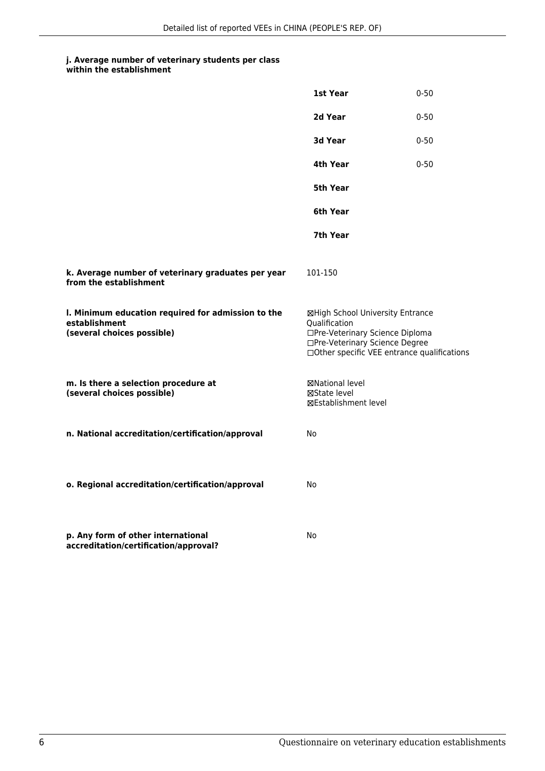|  | within the establishment |  |
|--|--------------------------|--|
|  |                          |  |

|                                                                                                   | 1st Year                                                                                                                                                              | $0 - 50$ |
|---------------------------------------------------------------------------------------------------|-----------------------------------------------------------------------------------------------------------------------------------------------------------------------|----------|
|                                                                                                   | 2d Year                                                                                                                                                               | $0 - 50$ |
|                                                                                                   | 3d Year                                                                                                                                                               | $0 - 50$ |
|                                                                                                   | 4th Year                                                                                                                                                              | $0 - 50$ |
|                                                                                                   | 5th Year                                                                                                                                                              |          |
|                                                                                                   | 6th Year                                                                                                                                                              |          |
|                                                                                                   | 7th Year                                                                                                                                                              |          |
| k. Average number of veterinary graduates per year<br>from the establishment                      | 101-150                                                                                                                                                               |          |
| I. Minimum education required for admission to the<br>establishment<br>(several choices possible) | ⊠High School University Entrance<br>Qualification<br>□Pre-Veterinary Science Diploma<br>□Pre-Veterinary Science Degree<br>□Other specific VEE entrance qualifications |          |
| m. Is there a selection procedure at<br>(several choices possible)                                | ⊠National level<br>⊠State level<br>⊠Establishment level                                                                                                               |          |
| n. National accreditation/certification/approval                                                  | No                                                                                                                                                                    |          |
| o. Regional accreditation/certification/approval                                                  | No                                                                                                                                                                    |          |
| p. Any form of other international<br>accreditation/certification/approval?                       | No                                                                                                                                                                    |          |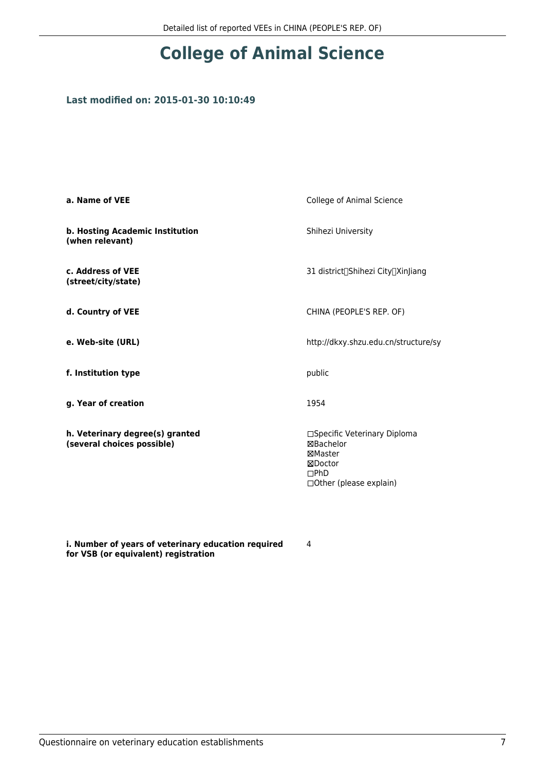# **College of Animal Science**

### **Last modified on: 2015-01-30 10:10:49**

| a. Name of VEE                                                | <b>College of Animal Science</b>                                                                           |
|---------------------------------------------------------------|------------------------------------------------------------------------------------------------------------|
| b. Hosting Academic Institution<br>(when relevant)            | Shihezi University                                                                                         |
| c. Address of VEE<br>(street/city/state)                      | 31 district∏Shihezi City∏XinJiang                                                                          |
| d. Country of VEE                                             | CHINA (PEOPLE'S REP. OF)                                                                                   |
| e. Web-site (URL)                                             | http://dkxy.shzu.edu.cn/structure/sy                                                                       |
| f. Institution type                                           | public                                                                                                     |
| g. Year of creation                                           | 1954                                                                                                       |
| h. Veterinary degree(s) granted<br>(several choices possible) | □Specific Veterinary Diploma<br><b>⊠Bachelor</b><br>⊠Master<br>⊠Doctor<br>DPhD<br>□ Other (please explain) |

**i. Number of years of veterinary education required for VSB (or equivalent) registration**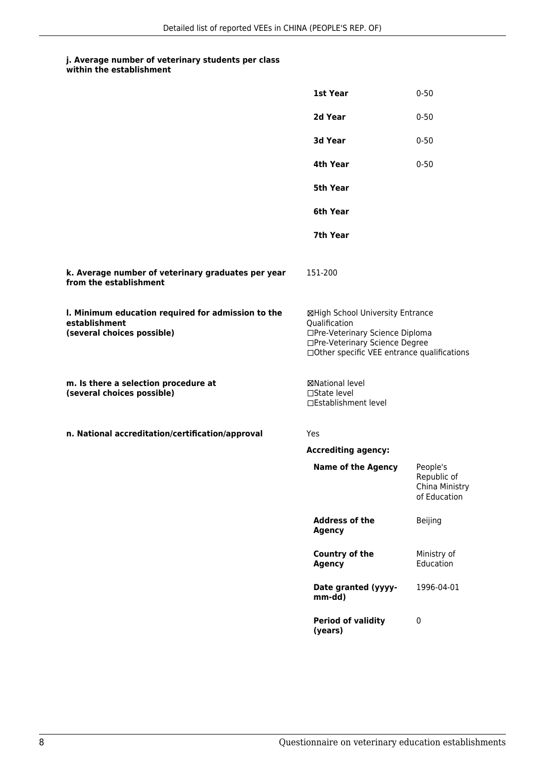#### **j. Average number of veterinary students per class within the establishment**

|                                                                                                   | 1st Year                                                                                                                                                              | $0 - 50$                                                  |
|---------------------------------------------------------------------------------------------------|-----------------------------------------------------------------------------------------------------------------------------------------------------------------------|-----------------------------------------------------------|
|                                                                                                   | 2d Year                                                                                                                                                               | $0 - 50$                                                  |
|                                                                                                   | 3d Year                                                                                                                                                               | $0 - 50$                                                  |
|                                                                                                   | 4th Year                                                                                                                                                              | $0 - 50$                                                  |
|                                                                                                   | <b>5th Year</b>                                                                                                                                                       |                                                           |
|                                                                                                   | 6th Year                                                                                                                                                              |                                                           |
|                                                                                                   | 7th Year                                                                                                                                                              |                                                           |
| k. Average number of veterinary graduates per year<br>from the establishment                      | 151-200                                                                                                                                                               |                                                           |
| I. Minimum education required for admission to the<br>establishment<br>(several choices possible) | ⊠High School University Entrance<br>Qualification<br>□Pre-Veterinary Science Diploma<br>□Pre-Veterinary Science Degree<br>□Other specific VEE entrance qualifications |                                                           |
| m. Is there a selection procedure at<br>(several choices possible)                                | ⊠National level<br>$\Box$ State level<br>□Establishment level                                                                                                         |                                                           |
| n. National accreditation/certification/approval                                                  | Yes                                                                                                                                                                   |                                                           |
|                                                                                                   | <b>Accrediting agency:</b>                                                                                                                                            |                                                           |
|                                                                                                   | <b>Name of the Agency</b>                                                                                                                                             | People's<br>Republic of<br>China Ministry<br>of Education |
|                                                                                                   | <b>Address of the</b><br><b>Agency</b>                                                                                                                                | Beijing                                                   |
|                                                                                                   | Country of the<br><b>Agency</b>                                                                                                                                       | Ministry of<br>Education                                  |
|                                                                                                   | Date granted (yyyy-<br>mm-dd)                                                                                                                                         | 1996-04-01                                                |
|                                                                                                   | <b>Period of validity</b><br>(years)                                                                                                                                  | 0                                                         |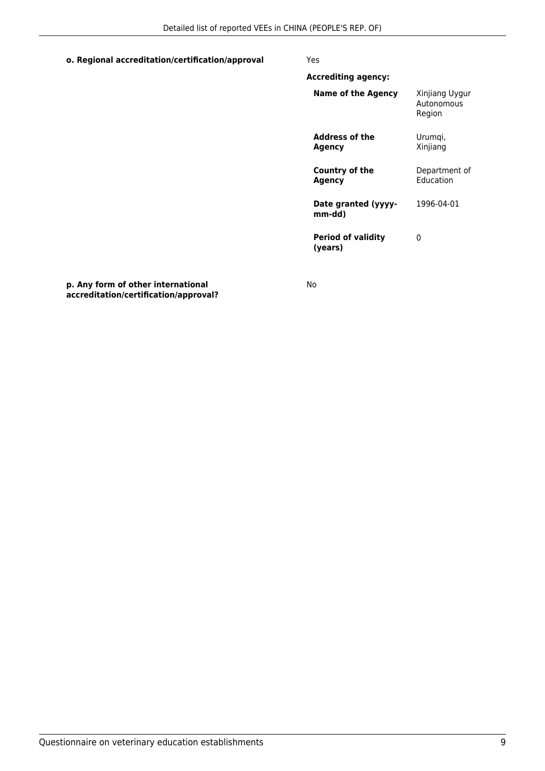### **o. Regional accreditation/certification/approval** Yes

| Xinjiang Uygur<br>Autonomous<br>Region |
|----------------------------------------|
| Urumgi,<br>Xinjiang                    |
| Department of<br><b>Education</b>      |
| 1996-04-01                             |
|                                        |

 $\theta$ 

**Period of validity (years)**

**p. Any form of other international accreditation/certification/approval?** No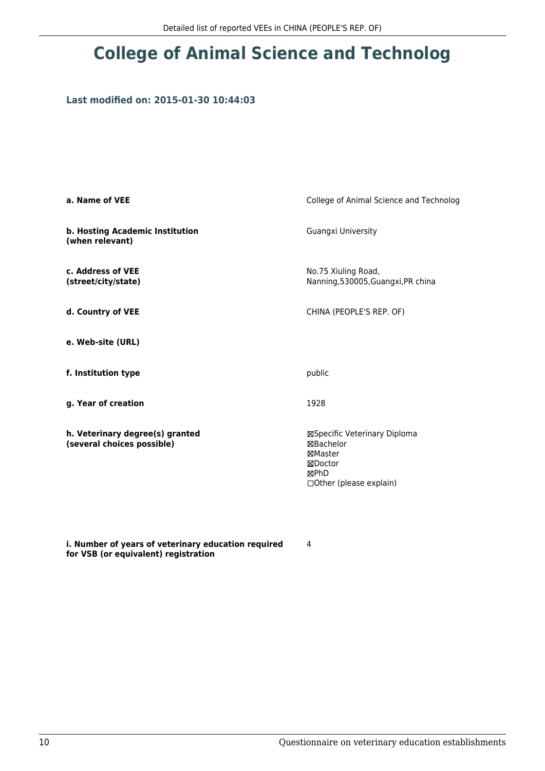## **College of Animal Science and Technolog**

### **Last modified on: 2015-01-30 10:44:03**

| a. Name of VEE                                                | College of Animal Science and Technolog                                                             |
|---------------------------------------------------------------|-----------------------------------------------------------------------------------------------------|
| b. Hosting Academic Institution<br>(when relevant)            | Guangxi University                                                                                  |
| c. Address of VEE<br>(street/city/state)                      | No.75 Xiuling Road,<br>Nanning, 530005, Guangxi, PR china                                           |
| d. Country of VEE                                             | CHINA (PEOPLE'S REP. OF)                                                                            |
| e. Web-site (URL)                                             |                                                                                                     |
| f. Institution type                                           | public                                                                                              |
| g. Year of creation                                           | 1928                                                                                                |
| h. Veterinary degree(s) granted<br>(several choices possible) | ⊠Specific Veterinary Diploma<br>⊠Bachelor<br>⊠Master<br>⊠Doctor<br>⊠PhD<br>□ Other (please explain) |

**i. Number of years of veterinary education required for VSB (or equivalent) registration**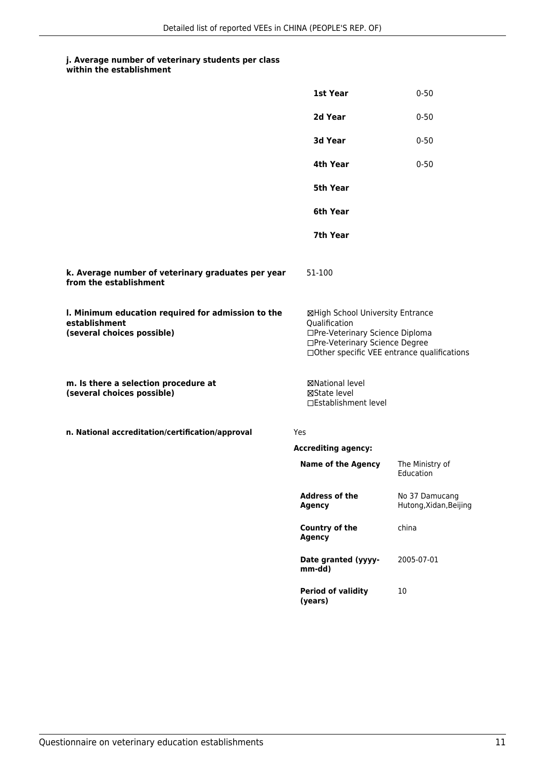#### **j. Average number of veterinary students per class within the establishment**

|                                                                                                   | 1st Year                                                                                                                                                              | $0 - 50$                                 |  |
|---------------------------------------------------------------------------------------------------|-----------------------------------------------------------------------------------------------------------------------------------------------------------------------|------------------------------------------|--|
|                                                                                                   | 2d Year                                                                                                                                                               | $0 - 50$                                 |  |
|                                                                                                   | 3d Year                                                                                                                                                               | $0 - 50$                                 |  |
|                                                                                                   | 4th Year                                                                                                                                                              | $0 - 50$                                 |  |
|                                                                                                   | 5th Year                                                                                                                                                              |                                          |  |
|                                                                                                   | 6th Year                                                                                                                                                              |                                          |  |
|                                                                                                   | 7th Year                                                                                                                                                              |                                          |  |
| k. Average number of veterinary graduates per year<br>from the establishment                      | 51-100                                                                                                                                                                |                                          |  |
| I. Minimum education required for admission to the<br>establishment<br>(several choices possible) | ⊠High School University Entrance<br>Qualification<br>□Pre-Veterinary Science Diploma<br>□Pre-Veterinary Science Degree<br>□Other specific VEE entrance qualifications |                                          |  |
| m. Is there a selection procedure at<br>(several choices possible)                                | ⊠National level<br>⊠State level<br>□Establishment level                                                                                                               |                                          |  |
| n. National accreditation/certification/approval                                                  | <b>Yes</b>                                                                                                                                                            |                                          |  |
|                                                                                                   | <b>Accrediting agency:</b>                                                                                                                                            |                                          |  |
|                                                                                                   | <b>Name of the Agency</b>                                                                                                                                             | The Ministry of<br>Education             |  |
|                                                                                                   | <b>Address of the</b><br><b>Agency</b>                                                                                                                                | No 37 Damucang<br>Hutong, Xidan, Beijing |  |
|                                                                                                   | <b>Country of the</b><br><b>Agency</b>                                                                                                                                | china                                    |  |
|                                                                                                   | Date granted (yyyy-<br>mm-dd)                                                                                                                                         | 2005-07-01                               |  |
|                                                                                                   | <b>Period of validity</b><br>(years)                                                                                                                                  | 10                                       |  |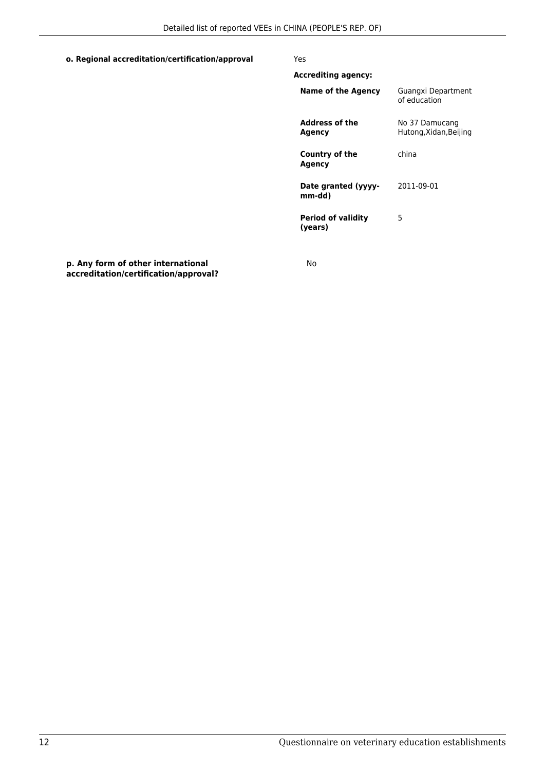#### **o. Regional accreditation/certification/approval** Yes

### **Accrediting agency: Name of the Agency** Guangxi Department of education **Address of the Agency** No 37 Damucang Hutong,Xidan,Beijing **Country of the Agency** china **Date granted (yyyymm-dd)** 2011-09-01 **Period of validity (years)** 5

**p. Any form of other international accreditation/certification/approval?** No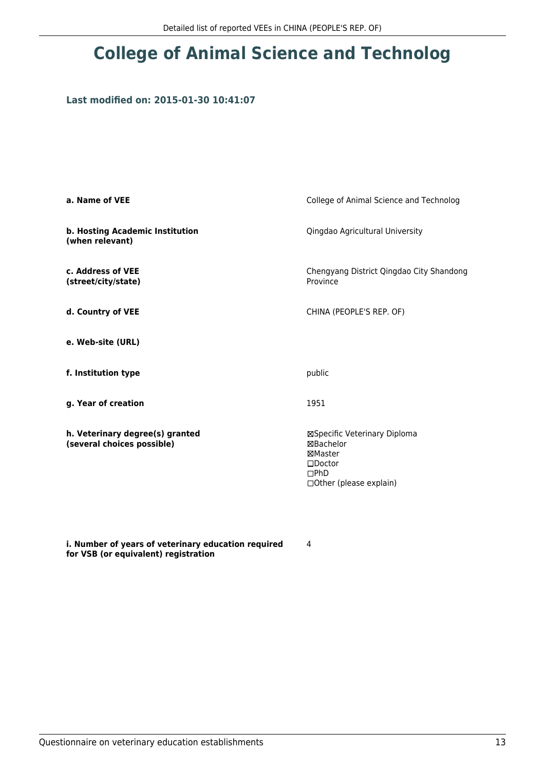## **College of Animal Science and Technolog**

### **Last modified on: 2015-01-30 10:41:07**

| a. Name of VEE                                                | College of Animal Science and Technolog                                                                           |
|---------------------------------------------------------------|-------------------------------------------------------------------------------------------------------------------|
| b. Hosting Academic Institution<br>(when relevant)            | Qingdao Agricultural University                                                                                   |
| c. Address of VEE<br>(street/city/state)                      | Chengyang District Qingdao City Shandong<br>Province                                                              |
| d. Country of VEE                                             | CHINA (PEOPLE'S REP. OF)                                                                                          |
| e. Web-site (URL)                                             |                                                                                                                   |
| f. Institution type                                           | public                                                                                                            |
| g. Year of creation                                           | 1951                                                                                                              |
| h. Veterinary degree(s) granted<br>(several choices possible) | ⊠Specific Veterinary Diploma<br>⊠Bachelor<br>⊠Master<br>$\square$ Doctor<br>DPhD<br>$\Box$ Other (please explain) |

**i. Number of years of veterinary education required for VSB (or equivalent) registration**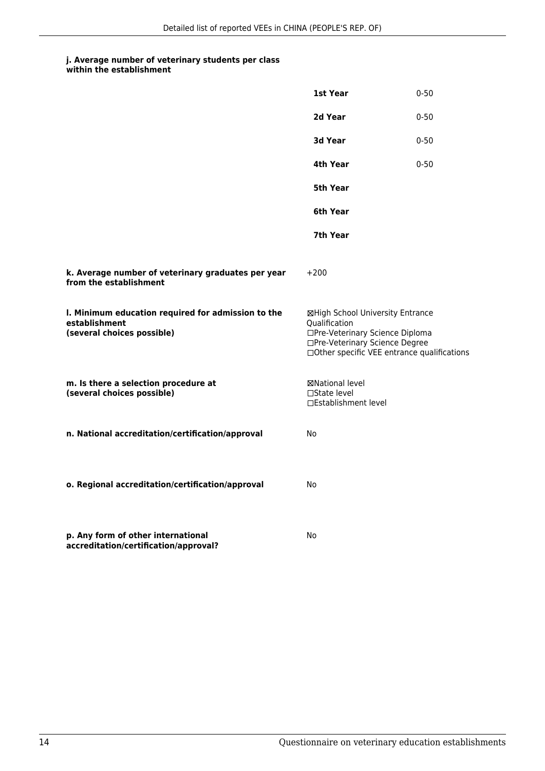| within the establishment                                                                          |                                                                                                                        |                                             |
|---------------------------------------------------------------------------------------------------|------------------------------------------------------------------------------------------------------------------------|---------------------------------------------|
|                                                                                                   | 1st Year                                                                                                               | $0 - 50$                                    |
|                                                                                                   | 2d Year                                                                                                                | $0 - 50$                                    |
|                                                                                                   | 3d Year                                                                                                                | $0 - 50$                                    |
|                                                                                                   | 4th Year                                                                                                               | $0 - 50$                                    |
|                                                                                                   | <b>5th Year</b>                                                                                                        |                                             |
|                                                                                                   | 6th Year                                                                                                               |                                             |
|                                                                                                   | 7th Year                                                                                                               |                                             |
| k. Average number of veterinary graduates per year<br>from the establishment                      | $+200$                                                                                                                 |                                             |
| I. Minimum education required for admission to the<br>establishment<br>(several choices possible) | ⊠High School University Entrance<br>Qualification<br>□Pre-Veterinary Science Diploma<br>□Pre-Veterinary Science Degree | □Other specific VEE entrance qualifications |
| m. Is there a selection procedure at<br>(several choices possible)                                | ⊠National level<br>□State level<br>□Establishment level                                                                |                                             |
| n. National accreditation/certification/approval                                                  | <b>No</b>                                                                                                              |                                             |
|                                                                                                   |                                                                                                                        |                                             |
| o. Regional accreditation/certification/approval                                                  | No                                                                                                                     |                                             |

**p. Any form of other international accreditation/certification/approval?** No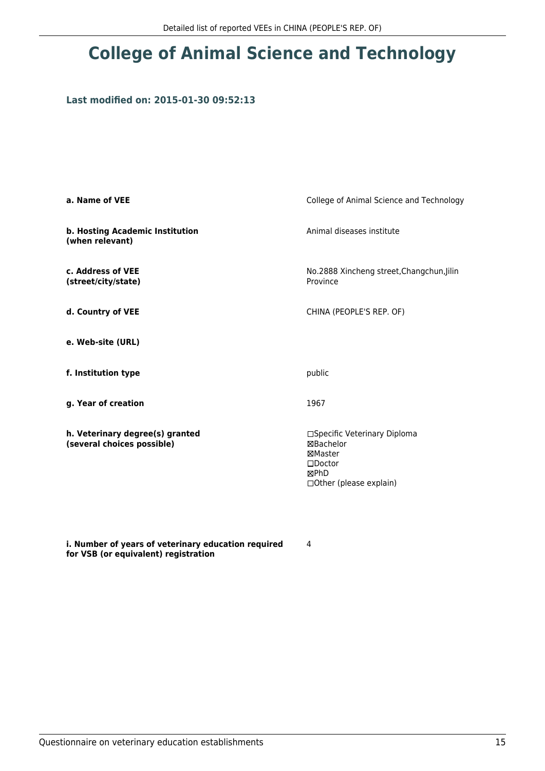# **College of Animal Science and Technology**

### **Last modified on: 2015-01-30 09:52:13**

| College of Animal Science and Technology                                                                          |
|-------------------------------------------------------------------------------------------------------------------|
| Animal diseases institute                                                                                         |
| No.2888 Xincheng street, Changchun, Jilin<br>Province                                                             |
| CHINA (PEOPLE'S REP. OF)                                                                                          |
|                                                                                                                   |
| public                                                                                                            |
| 1967                                                                                                              |
| □Specific Veterinary Diploma<br>⊠Bachelor<br>⊠Master<br>$\square$ Doctor<br>⊠PhD<br>$\Box$ Other (please explain) |
|                                                                                                                   |

**i. Number of years of veterinary education required for VSB (or equivalent) registration**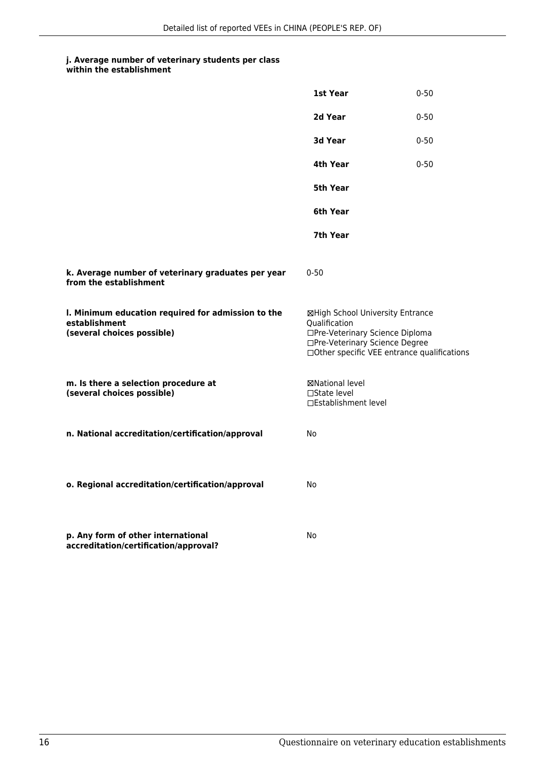| within the establishment |  |
|--------------------------|--|
|--------------------------|--|

|                                                                                                   | 1st Year                                                                                                                                                              | $0 - 50$ |
|---------------------------------------------------------------------------------------------------|-----------------------------------------------------------------------------------------------------------------------------------------------------------------------|----------|
|                                                                                                   | 2d Year                                                                                                                                                               | $0 - 50$ |
|                                                                                                   | 3d Year                                                                                                                                                               | $0 - 50$ |
|                                                                                                   | 4th Year                                                                                                                                                              | $0 - 50$ |
|                                                                                                   | 5th Year                                                                                                                                                              |          |
|                                                                                                   | 6th Year                                                                                                                                                              |          |
|                                                                                                   | 7th Year                                                                                                                                                              |          |
| k. Average number of veterinary graduates per year<br>from the establishment                      | $0 - 50$                                                                                                                                                              |          |
| I. Minimum education required for admission to the<br>establishment<br>(several choices possible) | ⊠High School University Entrance<br>Qualification<br>□Pre-Veterinary Science Diploma<br>□Pre-Veterinary Science Degree<br>□Other specific VEE entrance qualifications |          |
| m. Is there a selection procedure at<br>(several choices possible)                                | ⊠National level<br>$\Box$ State level<br>□Establishment level                                                                                                         |          |
| n. National accreditation/certification/approval                                                  | No.                                                                                                                                                                   |          |
| o. Regional accreditation/certification/approval                                                  | No                                                                                                                                                                    |          |
| p. Any form of other international<br>accreditation/certification/approval?                       | No                                                                                                                                                                    |          |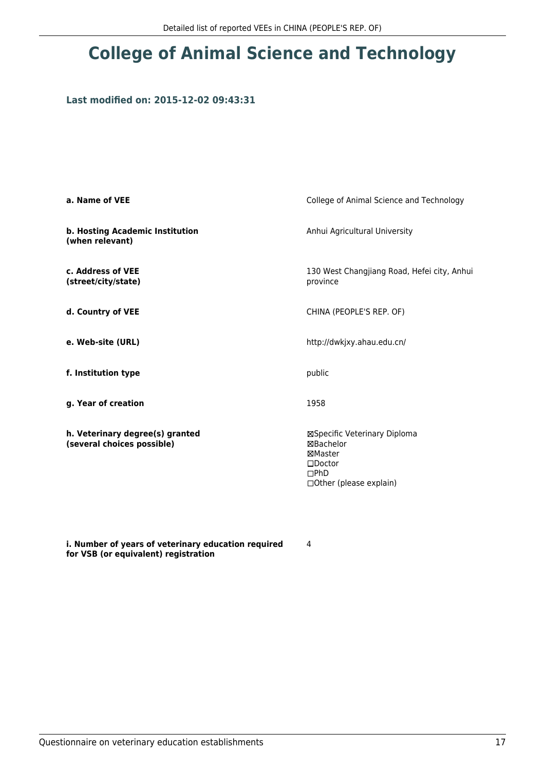# **College of Animal Science and Technology**

### **Last modified on: 2015-12-02 09:43:31**

| a. Name of VEE                                                | College of Animal Science and Technology                                                                                 |
|---------------------------------------------------------------|--------------------------------------------------------------------------------------------------------------------------|
| b. Hosting Academic Institution<br>(when relevant)            | Anhui Agricultural University                                                                                            |
| c. Address of VEE<br>(street/city/state)                      | 130 West Changjiang Road, Hefei city, Anhui<br>province                                                                  |
| d. Country of VEE                                             | CHINA (PEOPLE'S REP. OF)                                                                                                 |
| e. Web-site (URL)                                             | http://dwkjxy.ahau.edu.cn/                                                                                               |
| f. Institution type                                           | public                                                                                                                   |
| g. Year of creation                                           | 1958                                                                                                                     |
| h. Veterinary degree(s) granted<br>(several choices possible) | ⊠Specific Veterinary Diploma<br><b>⊠Bachelor</b><br>⊠Master<br>$\square$ Doctor<br>DPhD<br>$\Box$ Other (please explain) |

**i. Number of years of veterinary education required for VSB (or equivalent) registration**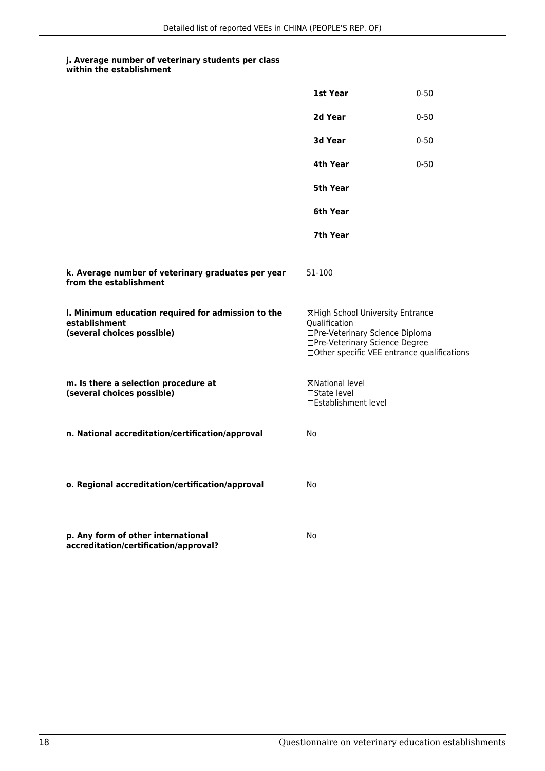**1st Year** 0-50

#### **j. Average number of veterinary students per class within the establishment**

|                                                                                                   | 2d Year                                                                                                                                                               | $0 - 50$ |
|---------------------------------------------------------------------------------------------------|-----------------------------------------------------------------------------------------------------------------------------------------------------------------------|----------|
|                                                                                                   | 3d Year                                                                                                                                                               | $0 - 50$ |
|                                                                                                   | 4th Year                                                                                                                                                              | $0 - 50$ |
|                                                                                                   | <b>5th Year</b>                                                                                                                                                       |          |
|                                                                                                   | 6th Year                                                                                                                                                              |          |
|                                                                                                   | 7th Year                                                                                                                                                              |          |
| k. Average number of veterinary graduates per year<br>from the establishment                      | 51-100                                                                                                                                                                |          |
| I. Minimum education required for admission to the<br>establishment<br>(several choices possible) | ⊠High School University Entrance<br>Qualification<br>□Pre-Veterinary Science Diploma<br>□Pre-Veterinary Science Degree<br>□Other specific VEE entrance qualifications |          |
| m. Is there a selection procedure at<br>(several choices possible)                                | <b>⊠National level</b><br>□State level<br>□Establishment level                                                                                                        |          |
| n. National accreditation/certification/approval                                                  | No                                                                                                                                                                    |          |
| o. Regional accreditation/certification/approval                                                  | No                                                                                                                                                                    |          |
| p. Any form of other international<br>accreditation/certification/approval?                       | No                                                                                                                                                                    |          |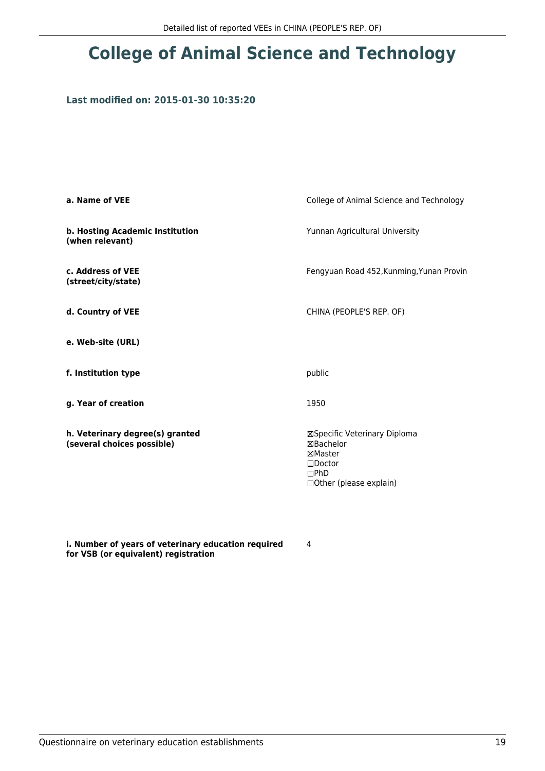# **College of Animal Science and Technology**

### **Last modified on: 2015-01-30 10:35:20**

| a. Name of VEE                                                | College of Animal Science and Technology                                                                                 |
|---------------------------------------------------------------|--------------------------------------------------------------------------------------------------------------------------|
| b. Hosting Academic Institution<br>(when relevant)            | Yunnan Agricultural University                                                                                           |
| c. Address of VEE<br>(street/city/state)                      | Fengyuan Road 452, Kunming, Yunan Provin                                                                                 |
| d. Country of VEE                                             | CHINA (PEOPLE'S REP. OF)                                                                                                 |
| e. Web-site (URL)                                             |                                                                                                                          |
| f. Institution type                                           | public                                                                                                                   |
| g. Year of creation                                           | 1950                                                                                                                     |
| h. Veterinary degree(s) granted<br>(several choices possible) | ⊠Specific Veterinary Diploma<br><b>⊠Bachelor</b><br>⊠Master<br>$\square$ Doctor<br>DPhD<br>$\Box$ Other (please explain) |

**i. Number of years of veterinary education required for VSB (or equivalent) registration**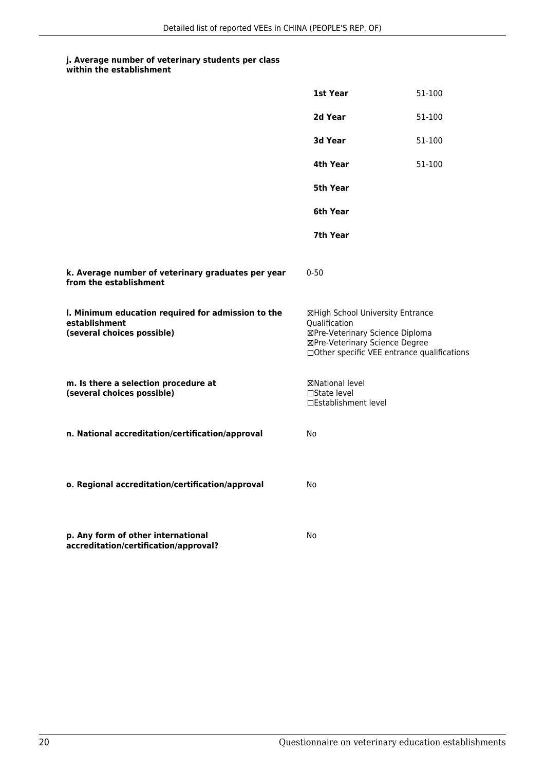| within the establishment |  |
|--------------------------|--|
|--------------------------|--|

|                                                                                                   | 1st Year                                                                                                                                                              | 51-100 |
|---------------------------------------------------------------------------------------------------|-----------------------------------------------------------------------------------------------------------------------------------------------------------------------|--------|
|                                                                                                   | 2d Year                                                                                                                                                               | 51-100 |
|                                                                                                   | 3d Year                                                                                                                                                               | 51-100 |
|                                                                                                   | 4th Year                                                                                                                                                              | 51-100 |
|                                                                                                   | 5th Year                                                                                                                                                              |        |
|                                                                                                   | 6th Year                                                                                                                                                              |        |
|                                                                                                   | 7th Year                                                                                                                                                              |        |
| k. Average number of veterinary graduates per year<br>from the establishment                      | $0 - 50$                                                                                                                                                              |        |
| I. Minimum education required for admission to the<br>establishment<br>(several choices possible) | ⊠High School University Entrance<br>Qualification<br>⊠Pre-Veterinary Science Diploma<br>⊠Pre-Veterinary Science Degree<br>□Other specific VEE entrance qualifications |        |
| m. Is there a selection procedure at<br>(several choices possible)                                | ⊠National level<br>□State level<br>□Establishment level                                                                                                               |        |
| n. National accreditation/certification/approval                                                  | No                                                                                                                                                                    |        |
| o. Regional accreditation/certification/approval                                                  | No                                                                                                                                                                    |        |
| p. Any form of other international<br>accreditation/certification/approval?                       | No                                                                                                                                                                    |        |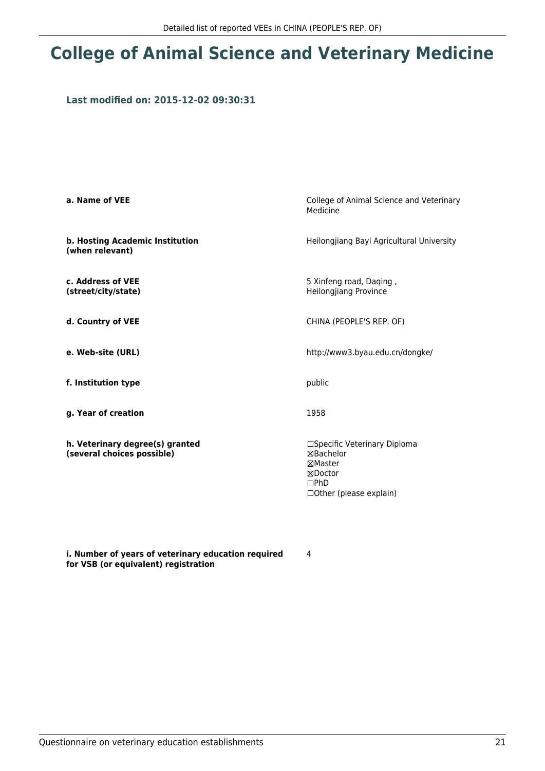## **College of Animal Science and Veterinary Medicine**

### **Last modified on: 2015-12-02 09:30:31**

| a. Name of VEE                                                | College of Animal Science and Veterinary<br>Medicine                                                      |
|---------------------------------------------------------------|-----------------------------------------------------------------------------------------------------------|
| b. Hosting Academic Institution<br>(when relevant)            | Heilongjiang Bayi Agricultural University                                                                 |
| c. Address of VEE<br>(street/city/state)                      | 5 Xinfeng road, Daging,<br><b>Heilongjiang Province</b>                                                   |
| d. Country of VEE                                             | CHINA (PEOPLE'S REP. OF)                                                                                  |
| e. Web-site (URL)                                             | http://www3.byau.edu.cn/dongke/                                                                           |
| f. Institution type                                           | public                                                                                                    |
| g. Year of creation                                           | 1958                                                                                                      |
| h. Veterinary degree(s) granted<br>(several choices possible) | □Specific Veterinary Diploma<br>⊠Bachelor<br>⊠Master<br>⊠Doctor<br>$\Box$ PhD<br>□ Other (please explain) |

**i. Number of years of veterinary education required for VSB (or equivalent) registration**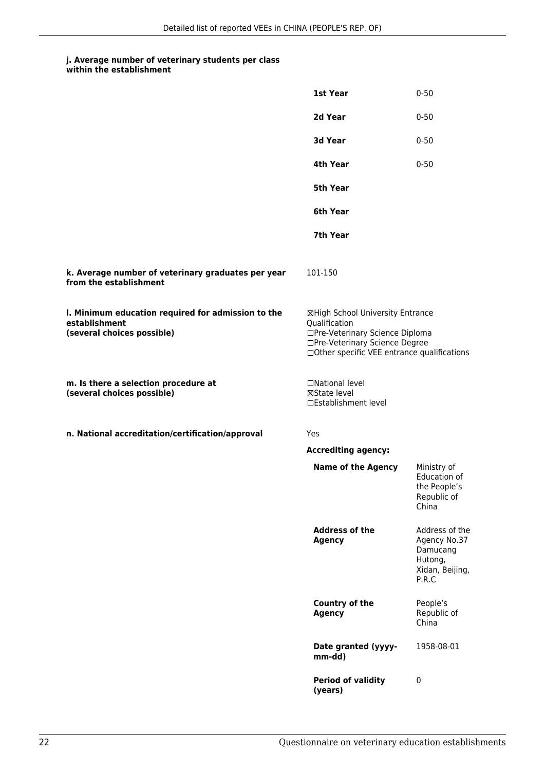#### **j. Average number of veterinary students per class within the establishment**

|                                                                                                   | 1st Year                                                                                                                                                               | $0 - 50$                                                                          |
|---------------------------------------------------------------------------------------------------|------------------------------------------------------------------------------------------------------------------------------------------------------------------------|-----------------------------------------------------------------------------------|
|                                                                                                   | 2d Year                                                                                                                                                                | $0 - 50$                                                                          |
|                                                                                                   | 3d Year                                                                                                                                                                | $0 - 50$                                                                          |
|                                                                                                   | 4th Year                                                                                                                                                               | $0 - 50$                                                                          |
|                                                                                                   | 5th Year                                                                                                                                                               |                                                                                   |
|                                                                                                   | 6th Year                                                                                                                                                               |                                                                                   |
|                                                                                                   | 7th Year                                                                                                                                                               |                                                                                   |
| k. Average number of veterinary graduates per year<br>from the establishment                      | 101-150                                                                                                                                                                |                                                                                   |
| I. Minimum education required for admission to the<br>establishment<br>(several choices possible) | ⊠High School University Entrance<br>Qualification<br>□Pre-Veterinary Science Diploma<br>□Pre-Veterinary Science Degree<br>□ Other specific VEE entrance qualifications |                                                                                   |
| m. Is there a selection procedure at<br>(several choices possible)                                | □National level<br>⊠State level<br>□Establishment level                                                                                                                |                                                                                   |
| n. National accreditation/certification/approval                                                  | Yes                                                                                                                                                                    |                                                                                   |
|                                                                                                   | <b>Accrediting agency:</b>                                                                                                                                             |                                                                                   |
|                                                                                                   | <b>Name of the Agency</b>                                                                                                                                              | Ministry of<br>Education of<br>the People's<br>Republic of<br>China               |
|                                                                                                   | <b>Address of the</b><br><b>Agency</b>                                                                                                                                 | Address of the<br>Agency No.37<br>Damucang<br>Hutong,<br>Xidan, Beijing,<br>P.R.C |
|                                                                                                   | Country of the<br><b>Agency</b>                                                                                                                                        | People's<br>Republic of<br>China                                                  |
|                                                                                                   | Date granted (yyyy-<br>mm-dd)                                                                                                                                          | 1958-08-01                                                                        |
|                                                                                                   | <b>Period of validity</b><br>(years)                                                                                                                                   | 0                                                                                 |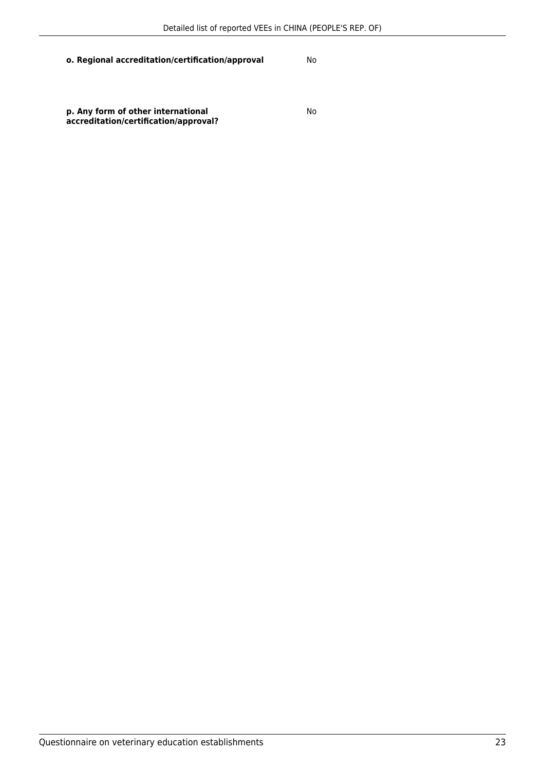### **o. Regional accreditation/certification/approval** No

**p. Any form of other international accreditation/certification/approval?** No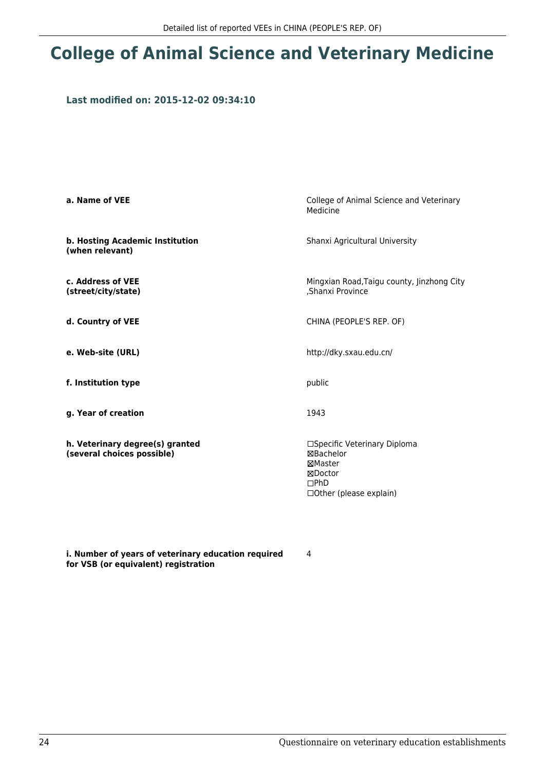## **College of Animal Science and Veterinary Medicine**

### **Last modified on: 2015-12-02 09:34:10**

| a. Name of VEE                                                | College of Animal Science and Veterinary<br>Medicine                                                           |
|---------------------------------------------------------------|----------------------------------------------------------------------------------------------------------------|
| b. Hosting Academic Institution<br>(when relevant)            | Shanxi Agricultural University                                                                                 |
| c. Address of VEE<br>(street/city/state)                      | Mingxian Road, Taigu county, Jinzhong City<br>,Shanxi Province                                                 |
| d. Country of VEE                                             | CHINA (PEOPLE'S REP. OF)                                                                                       |
| e. Web-site (URL)                                             | http://dky.sxau.edu.cn/                                                                                        |
| f. Institution type                                           | public                                                                                                         |
| g. Year of creation                                           | 1943                                                                                                           |
| h. Veterinary degree(s) granted<br>(several choices possible) | □Specific Veterinary Diploma<br>⊠Bachelor<br>⊠Master<br>⊠Doctor<br>$\Box$ PhD<br>$\Box$ Other (please explain) |

**i. Number of years of veterinary education required for VSB (or equivalent) registration**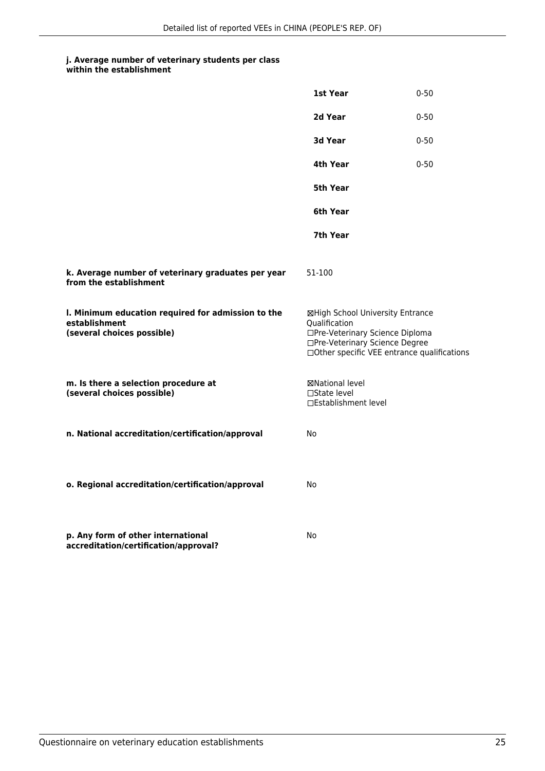#### **j. Average number of veterinary students per class within the establishment**

|                                                                                                   | 1st Year                                                                                                                                                              | $0 - 50$ |
|---------------------------------------------------------------------------------------------------|-----------------------------------------------------------------------------------------------------------------------------------------------------------------------|----------|
|                                                                                                   | 2d Year                                                                                                                                                               | $0 - 50$ |
|                                                                                                   | 3d Year                                                                                                                                                               | $0 - 50$ |
|                                                                                                   | 4th Year                                                                                                                                                              | $0 - 50$ |
|                                                                                                   | 5th Year                                                                                                                                                              |          |
|                                                                                                   | 6th Year                                                                                                                                                              |          |
|                                                                                                   | 7th Year                                                                                                                                                              |          |
| k. Average number of veterinary graduates per year<br>from the establishment                      | 51-100                                                                                                                                                                |          |
| I. Minimum education required for admission to the<br>establishment<br>(several choices possible) | ⊠High School University Entrance<br>Qualification<br>□Pre-Veterinary Science Diploma<br>□Pre-Veterinary Science Degree<br>□Other specific VEE entrance qualifications |          |
| m. Is there a selection procedure at<br>(several choices possible)                                | ⊠National level<br>$\Box$ State level<br>□Establishment level                                                                                                         |          |
| n. National accreditation/certification/approval                                                  | No                                                                                                                                                                    |          |
| o. Regional accreditation/certification/approval                                                  | No                                                                                                                                                                    |          |
| p. Any form of other international<br>accreditation/certification/approval?                       | No                                                                                                                                                                    |          |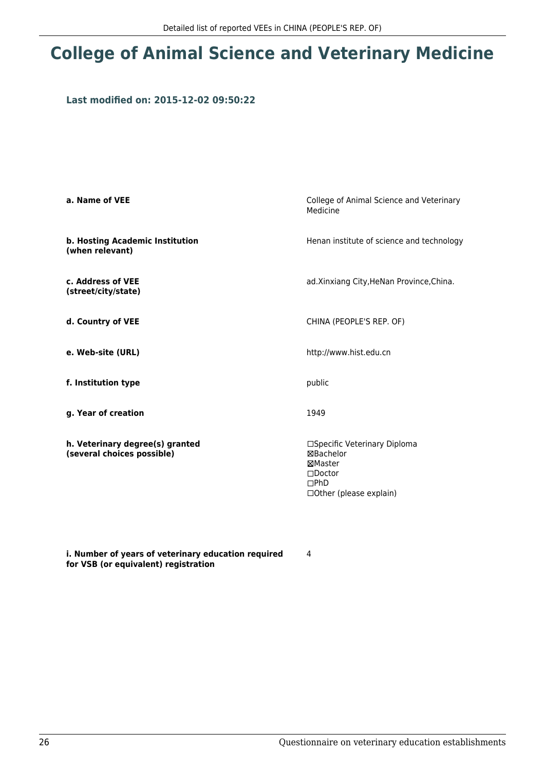## **College of Animal Science and Veterinary Medicine**

### **Last modified on: 2015-12-02 09:50:22**

| a. Name of VEE                                                | College of Animal Science and Veterinary<br>Medicine                                                                    |
|---------------------------------------------------------------|-------------------------------------------------------------------------------------------------------------------------|
| b. Hosting Academic Institution<br>(when relevant)            | Henan institute of science and technology                                                                               |
| c. Address of VEE<br>(street/city/state)                      | ad.Xinxiang City, HeNan Province, China.                                                                                |
| d. Country of VEE                                             | CHINA (PEOPLE'S REP. OF)                                                                                                |
| e. Web-site (URL)                                             | http://www.hist.edu.cn                                                                                                  |
| f. Institution type                                           | public                                                                                                                  |
| g. Year of creation                                           | 1949                                                                                                                    |
| h. Veterinary degree(s) granted<br>(several choices possible) | □Specific Veterinary Diploma<br>⊠Bachelor<br>⊠Master<br>$\square$ Doctor<br>$\Box$ PhD<br>$\Box$ Other (please explain) |

**i. Number of years of veterinary education required for VSB (or equivalent) registration**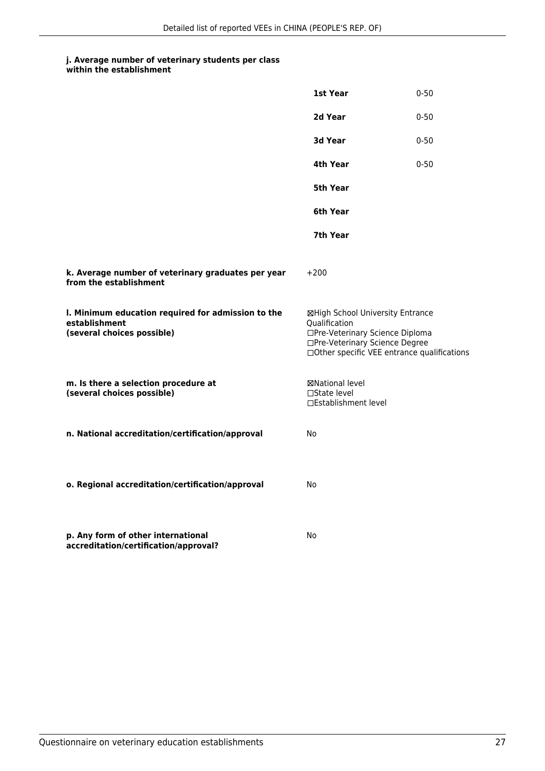|                                                                                                   | 1st Year                                                                                                                                                              | $0 - 50$ |
|---------------------------------------------------------------------------------------------------|-----------------------------------------------------------------------------------------------------------------------------------------------------------------------|----------|
|                                                                                                   | 2d Year                                                                                                                                                               | $0 - 50$ |
|                                                                                                   | <b>3d Year</b>                                                                                                                                                        | $0 - 50$ |
|                                                                                                   | 4th Year                                                                                                                                                              | $0 - 50$ |
|                                                                                                   | 5th Year                                                                                                                                                              |          |
|                                                                                                   | 6th Year                                                                                                                                                              |          |
|                                                                                                   | 7th Year                                                                                                                                                              |          |
| k. Average number of veterinary graduates per year<br>from the establishment                      | $+200$                                                                                                                                                                |          |
| I. Minimum education required for admission to the<br>establishment<br>(several choices possible) | ⊠High School University Entrance<br>Qualification<br>□Pre-Veterinary Science Diploma<br>□Pre-Veterinary Science Degree<br>□Other specific VEE entrance qualifications |          |
| m. Is there a selection procedure at<br>(several choices possible)                                | ⊠National level<br>$\Box$ State level<br>□Establishment level                                                                                                         |          |
| n. National accreditation/certification/approval                                                  | <b>No</b>                                                                                                                                                             |          |
| o. Regional accreditation/certification/approval                                                  | No                                                                                                                                                                    |          |
| p. Any form of other international<br>accreditation/certification/approval?                       | No                                                                                                                                                                    |          |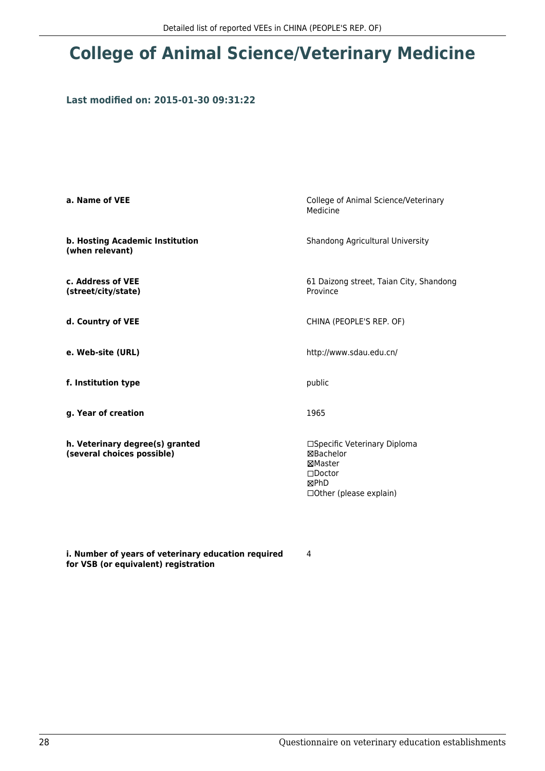## **College of Animal Science/Veterinary Medicine**

### **Last modified on: 2015-01-30 09:31:22**

| a. Name of VEE                                                | College of Animal Science/Veterinary<br>Medicine                                                                  |
|---------------------------------------------------------------|-------------------------------------------------------------------------------------------------------------------|
| b. Hosting Academic Institution<br>(when relevant)            | Shandong Agricultural University                                                                                  |
| c. Address of VEE<br>(street/city/state)                      | 61 Daizong street, Taian City, Shandong<br>Province                                                               |
| d. Country of VEE                                             | CHINA (PEOPLE'S REP. OF)                                                                                          |
| e. Web-site (URL)                                             | http://www.sdau.edu.cn/                                                                                           |
| f. Institution type                                           | public                                                                                                            |
| g. Year of creation                                           | 1965                                                                                                              |
| h. Veterinary degree(s) granted<br>(several choices possible) | □Specific Veterinary Diploma<br>⊠Bachelor<br>⊠Master<br>$\square$ Doctor<br>⊠PhD<br>$\Box$ Other (please explain) |

**i. Number of years of veterinary education required for VSB (or equivalent) registration**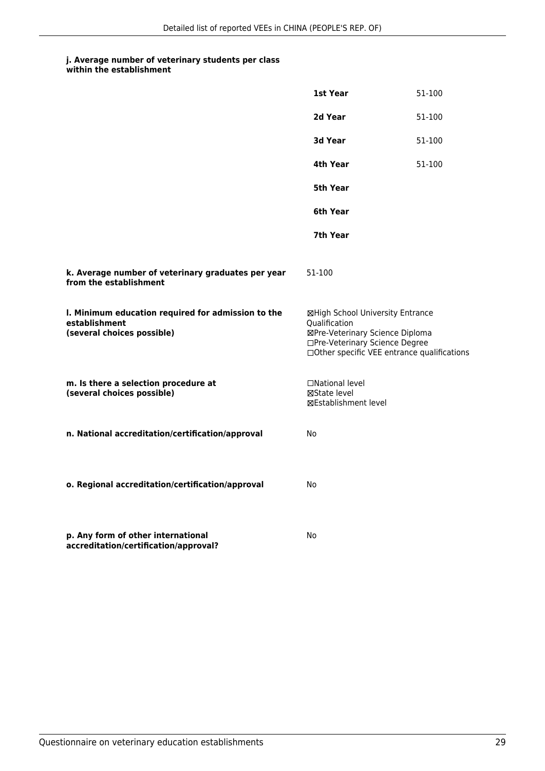|                                                                                                   | 1st Year                                                                                                                                                              | 51-100 |
|---------------------------------------------------------------------------------------------------|-----------------------------------------------------------------------------------------------------------------------------------------------------------------------|--------|
|                                                                                                   | 2d Year                                                                                                                                                               | 51-100 |
|                                                                                                   | 3d Year                                                                                                                                                               | 51-100 |
|                                                                                                   | 4th Year                                                                                                                                                              | 51-100 |
|                                                                                                   | 5th Year                                                                                                                                                              |        |
|                                                                                                   | 6th Year                                                                                                                                                              |        |
|                                                                                                   | 7th Year                                                                                                                                                              |        |
| k. Average number of veterinary graduates per year<br>from the establishment                      | 51-100                                                                                                                                                                |        |
| I. Minimum education required for admission to the<br>establishment<br>(several choices possible) | ⊠High School University Entrance<br>Qualification<br>⊠Pre-Veterinary Science Diploma<br>□Pre-Veterinary Science Degree<br>□Other specific VEE entrance qualifications |        |
| m. Is there a selection procedure at<br>(several choices possible)                                | □National level<br>⊠State level<br>⊠Establishment level                                                                                                               |        |
| n. National accreditation/certification/approval                                                  | <b>No</b>                                                                                                                                                             |        |
| o. Regional accreditation/certification/approval                                                  | No                                                                                                                                                                    |        |
| p. Any form of other international<br>accreditation/certification/approval?                       | No                                                                                                                                                                    |        |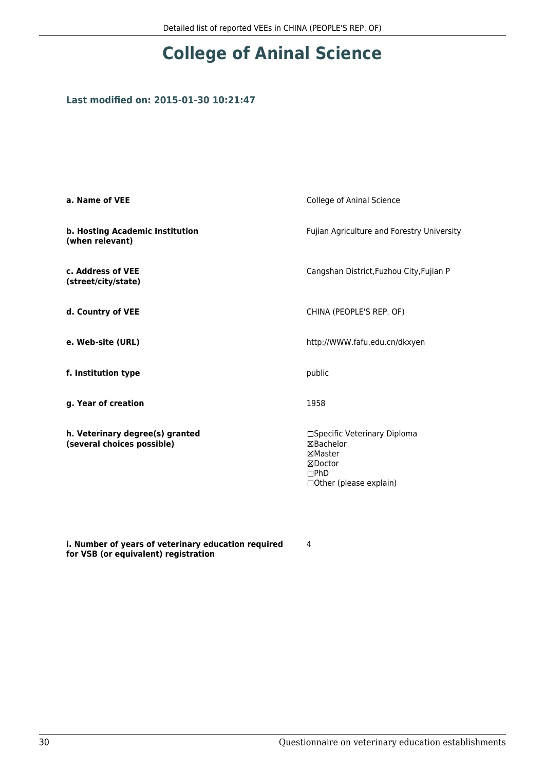## **College of Aninal Science**

### **Last modified on: 2015-01-30 10:21:47**

| a. Name of VEE                                                | College of Aninal Science                                                                          |  |
|---------------------------------------------------------------|----------------------------------------------------------------------------------------------------|--|
| b. Hosting Academic Institution<br>(when relevant)            | Fujian Agriculture and Forestry University                                                         |  |
| c. Address of VEE<br>(street/city/state)                      | Cangshan District, Fuzhou City, Fujian P                                                           |  |
| d. Country of VEE                                             | CHINA (PEOPLE'S REP. OF)                                                                           |  |
| e. Web-site (URL)                                             | http://WWW.fafu.edu.cn/dkxyen                                                                      |  |
| f. Institution type                                           | public                                                                                             |  |
| g. Year of creation                                           | 1958                                                                                               |  |
| h. Veterinary degree(s) granted<br>(several choices possible) | □Specific Veterinary Diploma<br>⊠Bachelor<br>⊠Master<br>⊠Doctor<br>DPhD<br>□Other (please explain) |  |

**i. Number of years of veterinary education required for VSB (or equivalent) registration**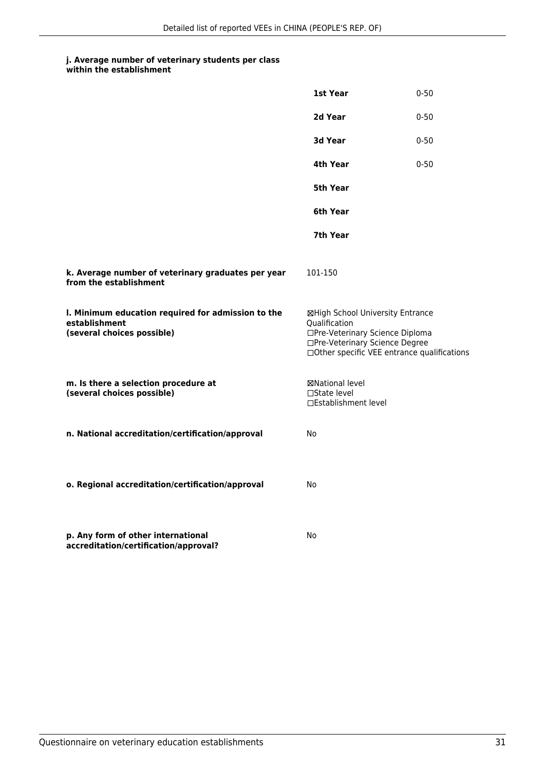|                                                                                                   | 1st Year                                                                                                                                                              | $0 - 50$ |
|---------------------------------------------------------------------------------------------------|-----------------------------------------------------------------------------------------------------------------------------------------------------------------------|----------|
|                                                                                                   | 2d Year                                                                                                                                                               | $0 - 50$ |
|                                                                                                   | <b>3d Year</b>                                                                                                                                                        | $0 - 50$ |
|                                                                                                   | 4th Year                                                                                                                                                              | $0 - 50$ |
|                                                                                                   | 5th Year                                                                                                                                                              |          |
|                                                                                                   | 6th Year                                                                                                                                                              |          |
|                                                                                                   | 7th Year                                                                                                                                                              |          |
| k. Average number of veterinary graduates per year<br>from the establishment                      | 101-150                                                                                                                                                               |          |
| I. Minimum education required for admission to the<br>establishment<br>(several choices possible) | ⊠High School University Entrance<br>Qualification<br>□Pre-Veterinary Science Diploma<br>□Pre-Veterinary Science Degree<br>□Other specific VEE entrance qualifications |          |
| m. Is there a selection procedure at<br>(several choices possible)                                | ⊠National level<br>□State level<br>□Establishment level                                                                                                               |          |
| n. National accreditation/certification/approval                                                  | No                                                                                                                                                                    |          |
| o. Regional accreditation/certification/approval                                                  | No                                                                                                                                                                    |          |
| p. Any form of other international<br>accreditation/certification/approval?                       | No                                                                                                                                                                    |          |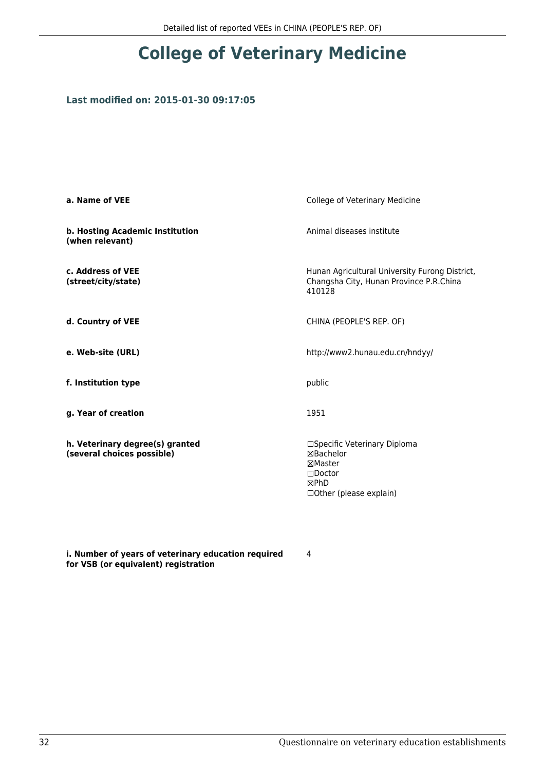## **College of Veterinary Medicine**

### **Last modified on: 2015-01-30 09:17:05**

| a. Name of VEE                                                | College of Veterinary Medicine                                                                               |  |
|---------------------------------------------------------------|--------------------------------------------------------------------------------------------------------------|--|
| b. Hosting Academic Institution<br>(when relevant)            | Animal diseases institute                                                                                    |  |
| c. Address of VEE<br>(street/city/state)                      | Hunan Agricultural University Furong District,<br>Changsha City, Hunan Province P.R.China<br>410128          |  |
| d. Country of VEE                                             | CHINA (PEOPLE'S REP. OF)                                                                                     |  |
| e. Web-site (URL)                                             | http://www2.hunau.edu.cn/hndyy/                                                                              |  |
| f. Institution type                                           | public                                                                                                       |  |
| g. Year of creation                                           | 1951                                                                                                         |  |
| h. Veterinary degree(s) granted<br>(several choices possible) | □Specific Veterinary Diploma<br>⊠Bachelor<br>⊠Master<br>$\square$ Doctor<br>⊠PhD<br>□ Other (please explain) |  |

**i. Number of years of veterinary education required for VSB (or equivalent) registration**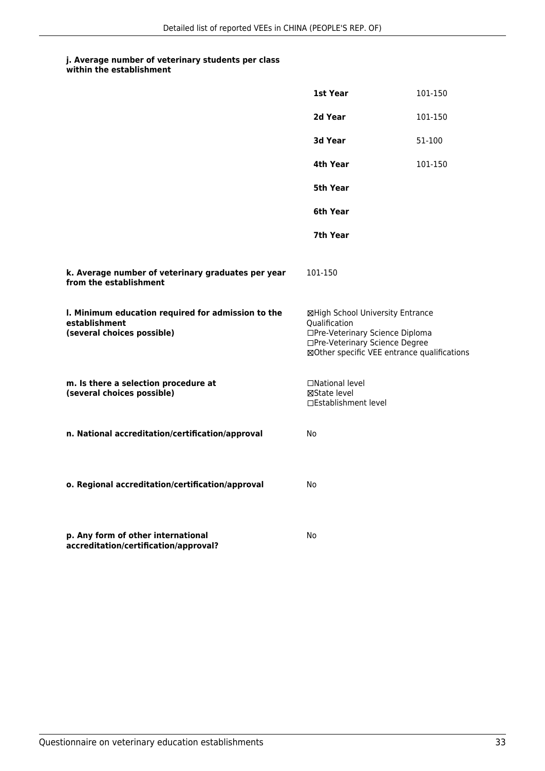|                                                                                                   | 1st Year                                                                                                                                                              | 101-150 |
|---------------------------------------------------------------------------------------------------|-----------------------------------------------------------------------------------------------------------------------------------------------------------------------|---------|
|                                                                                                   | 2d Year                                                                                                                                                               | 101-150 |
|                                                                                                   | 3d Year                                                                                                                                                               | 51-100  |
|                                                                                                   | 4th Year                                                                                                                                                              | 101-150 |
|                                                                                                   | 5th Year                                                                                                                                                              |         |
|                                                                                                   | 6th Year                                                                                                                                                              |         |
|                                                                                                   | 7th Year                                                                                                                                                              |         |
| k. Average number of veterinary graduates per year<br>from the establishment                      | 101-150                                                                                                                                                               |         |
| I. Minimum education required for admission to the<br>establishment<br>(several choices possible) | ⊠High School University Entrance<br>Qualification<br>□Pre-Veterinary Science Diploma<br>□Pre-Veterinary Science Degree<br>⊠Other specific VEE entrance qualifications |         |
| m. Is there a selection procedure at<br>(several choices possible)                                | □National level<br>⊠State level<br>□Establishment level                                                                                                               |         |
| n. National accreditation/certification/approval                                                  | No                                                                                                                                                                    |         |
| o. Regional accreditation/certification/approval                                                  | No                                                                                                                                                                    |         |
| p. Any form of other international<br>accreditation/certification/approval?                       | No                                                                                                                                                                    |         |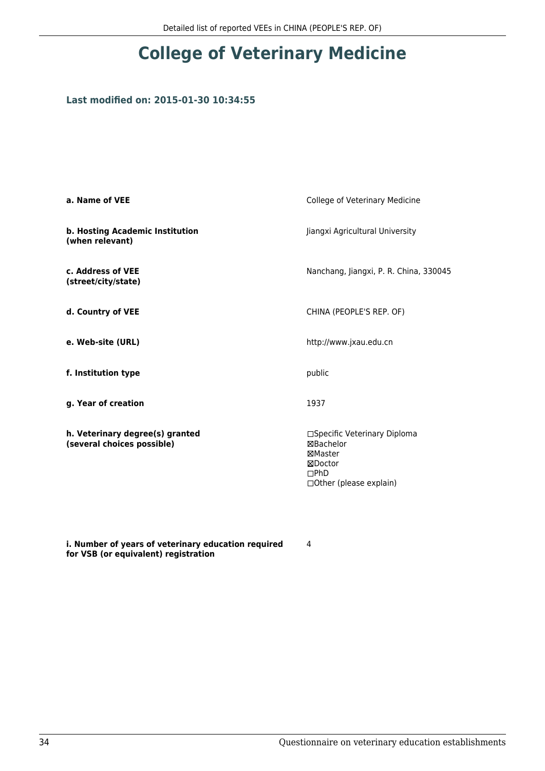## **College of Veterinary Medicine**

### **Last modified on: 2015-01-30 10:34:55**

| a. Name of VEE                                                | College of Veterinary Medicine                                                                             |  |
|---------------------------------------------------------------|------------------------------------------------------------------------------------------------------------|--|
| b. Hosting Academic Institution<br>(when relevant)            | Jiangxi Agricultural University                                                                            |  |
| c. Address of VEE<br>(street/city/state)                      | Nanchang, Jiangxi, P. R. China, 330045                                                                     |  |
| d. Country of VEE                                             | CHINA (PEOPLE'S REP. OF)                                                                                   |  |
| e. Web-site (URL)                                             | http://www.jxau.edu.cn                                                                                     |  |
| f. Institution type                                           | public                                                                                                     |  |
| g. Year of creation                                           | 1937                                                                                                       |  |
| h. Veterinary degree(s) granted<br>(several choices possible) | □Specific Veterinary Diploma<br><b>⊠Bachelor</b><br>⊠Master<br>⊠Doctor<br>DPhD<br>□ Other (please explain) |  |

**i. Number of years of veterinary education required for VSB (or equivalent) registration**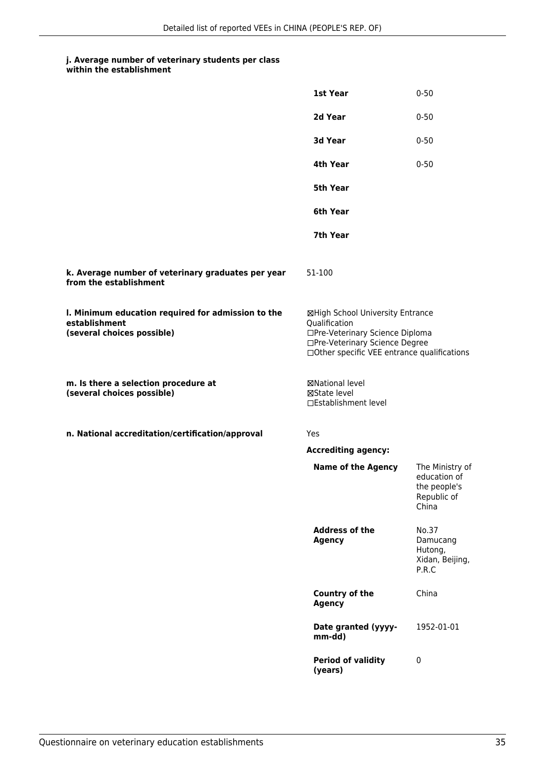#### **j. Average number of veterinary students per class within the establishment**

|                                                                                                   | 1st Year                                                                                                                                                              | $0 - 50$                                                                |
|---------------------------------------------------------------------------------------------------|-----------------------------------------------------------------------------------------------------------------------------------------------------------------------|-------------------------------------------------------------------------|
|                                                                                                   | 2d Year                                                                                                                                                               | $0 - 50$                                                                |
|                                                                                                   | 3d Year                                                                                                                                                               | $0 - 50$                                                                |
|                                                                                                   | 4th Year                                                                                                                                                              | $0 - 50$                                                                |
|                                                                                                   | <b>5th Year</b>                                                                                                                                                       |                                                                         |
|                                                                                                   | 6th Year                                                                                                                                                              |                                                                         |
|                                                                                                   | 7th Year                                                                                                                                                              |                                                                         |
| k. Average number of veterinary graduates per year<br>from the establishment                      | 51-100                                                                                                                                                                |                                                                         |
| I. Minimum education required for admission to the<br>establishment<br>(several choices possible) | ⊠High School University Entrance<br>Qualification<br>□Pre-Veterinary Science Diploma<br>□Pre-Veterinary Science Degree<br>□Other specific VEE entrance qualifications |                                                                         |
| m. Is there a selection procedure at<br>(several choices possible)                                | <b>⊠National level</b><br>⊠State level<br>□Establishment level                                                                                                        |                                                                         |
| n. National accreditation/certification/approval                                                  | Yes                                                                                                                                                                   |                                                                         |
|                                                                                                   | <b>Accrediting agency:</b>                                                                                                                                            |                                                                         |
|                                                                                                   | <b>Name of the Agency</b>                                                                                                                                             | The Ministry of<br>education of<br>the people's<br>Republic of<br>China |
|                                                                                                   | <b>Address of the</b><br><b>Agency</b>                                                                                                                                | No.37<br>Damucang<br>Hutong,<br>Xidan, Beijing,<br>P.R.C                |
|                                                                                                   | <b>Country of the</b><br><b>Agency</b>                                                                                                                                | China                                                                   |
|                                                                                                   | Date granted (yyyy-<br>mm-dd)                                                                                                                                         | 1952-01-01                                                              |
|                                                                                                   | <b>Period of validity</b><br>(years)                                                                                                                                  | 0                                                                       |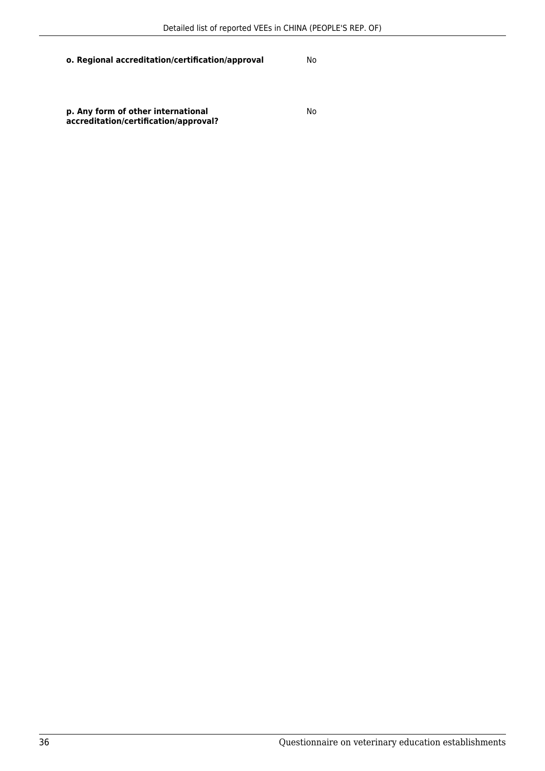### **o. Regional accreditation/certification/approval** No

**p. Any form of other international accreditation/certification/approval?** No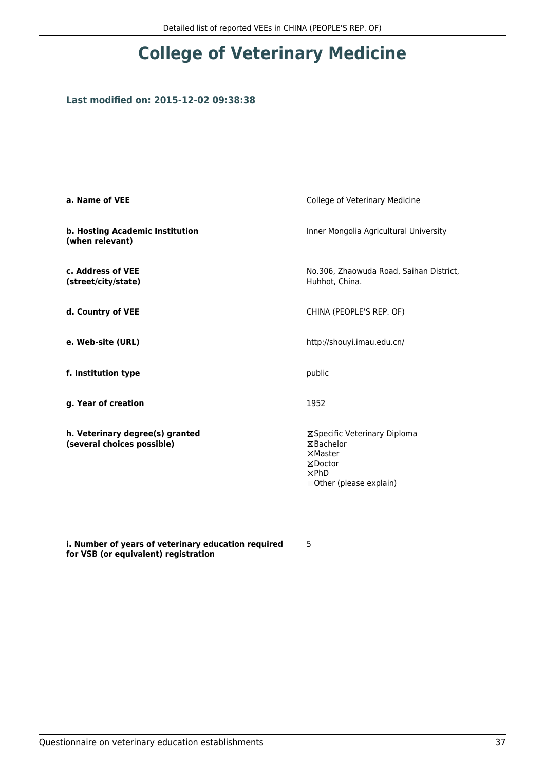## **Last modified on: 2015-12-02 09:38:38**

| a. Name of VEE                                                | College of Veterinary Medicine                                                                     |
|---------------------------------------------------------------|----------------------------------------------------------------------------------------------------|
| b. Hosting Academic Institution<br>(when relevant)            | Inner Mongolia Agricultural University                                                             |
| c. Address of VEE<br>(street/city/state)                      | No.306, Zhaowuda Road, Saihan District,<br>Huhhot, China.                                          |
| d. Country of VEE                                             | CHINA (PEOPLE'S REP. OF)                                                                           |
| e. Web-site (URL)                                             | http://shouyi.imau.edu.cn/                                                                         |
| f. Institution type                                           | public                                                                                             |
| g. Year of creation                                           | 1952                                                                                               |
| h. Veterinary degree(s) granted<br>(several choices possible) | ⊠Specific Veterinary Diploma<br>⊠Bachelor<br>⊠Master<br>⊠Doctor<br>⊠PhD<br>□Other (please explain) |

**i. Number of years of veterinary education required for VSB (or equivalent) registration**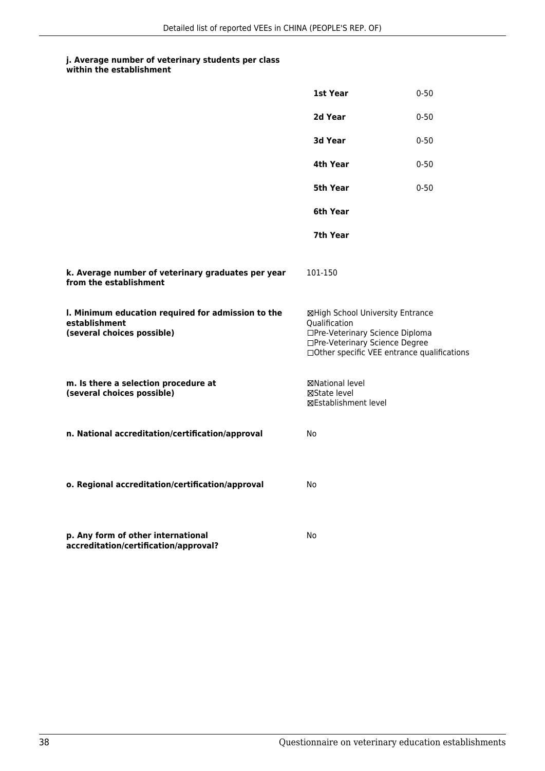|                                                                                                   | 1st Year                                                                                                                                                              | $0 - 50$ |
|---------------------------------------------------------------------------------------------------|-----------------------------------------------------------------------------------------------------------------------------------------------------------------------|----------|
|                                                                                                   | 2d Year                                                                                                                                                               | $0 - 50$ |
|                                                                                                   | 3d Year                                                                                                                                                               | $0 - 50$ |
|                                                                                                   | 4th Year                                                                                                                                                              | $0 - 50$ |
|                                                                                                   | 5th Year                                                                                                                                                              | $0 - 50$ |
|                                                                                                   | 6th Year                                                                                                                                                              |          |
|                                                                                                   | 7th Year                                                                                                                                                              |          |
| k. Average number of veterinary graduates per year<br>from the establishment                      | 101-150                                                                                                                                                               |          |
| I. Minimum education required for admission to the<br>establishment<br>(several choices possible) | ⊠High School University Entrance<br>Qualification<br>□Pre-Veterinary Science Diploma<br>□Pre-Veterinary Science Degree<br>□Other specific VEE entrance qualifications |          |
| m. Is there a selection procedure at<br>(several choices possible)                                | ⊠National level<br>⊠State level<br>⊠Establishment level                                                                                                               |          |
| n. National accreditation/certification/approval                                                  | No                                                                                                                                                                    |          |
| o. Regional accreditation/certification/approval                                                  | No                                                                                                                                                                    |          |
| p. Any form of other international<br>accreditation/certification/approval?                       | No                                                                                                                                                                    |          |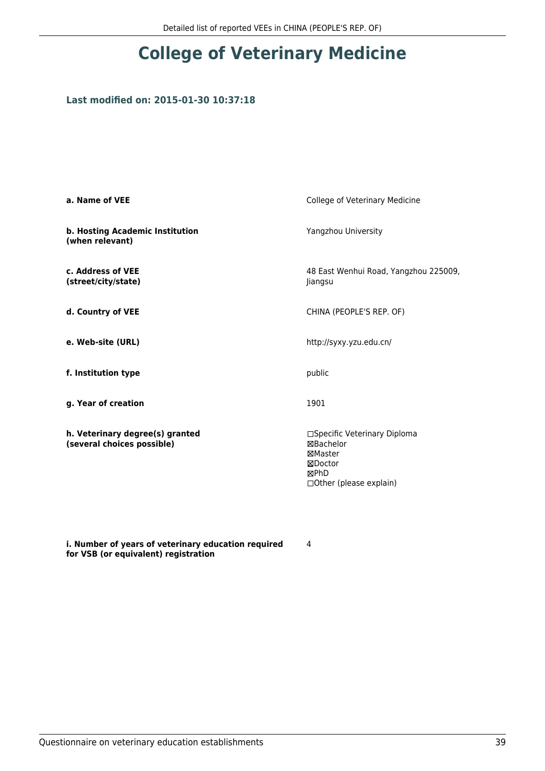## **Last modified on: 2015-01-30 10:37:18**

| a. Name of VEE                                                | College of Veterinary Medicine                                                                      |
|---------------------------------------------------------------|-----------------------------------------------------------------------------------------------------|
| b. Hosting Academic Institution<br>(when relevant)            | Yangzhou University                                                                                 |
| c. Address of VEE<br>(street/city/state)                      | 48 East Wenhui Road, Yangzhou 225009,<br>Jiangsu                                                    |
| d. Country of VEE                                             | CHINA (PEOPLE'S REP. OF)                                                                            |
| e. Web-site (URL)                                             | http://syxy.yzu.edu.cn/                                                                             |
| f. Institution type                                           | public                                                                                              |
| g. Year of creation                                           | 1901                                                                                                |
| h. Veterinary degree(s) granted<br>(several choices possible) | □Specific Veterinary Diploma<br>⊠Bachelor<br>⊠Master<br>⊠Doctor<br>⊠PhD<br>□ Other (please explain) |

**i. Number of years of veterinary education required for VSB (or equivalent) registration**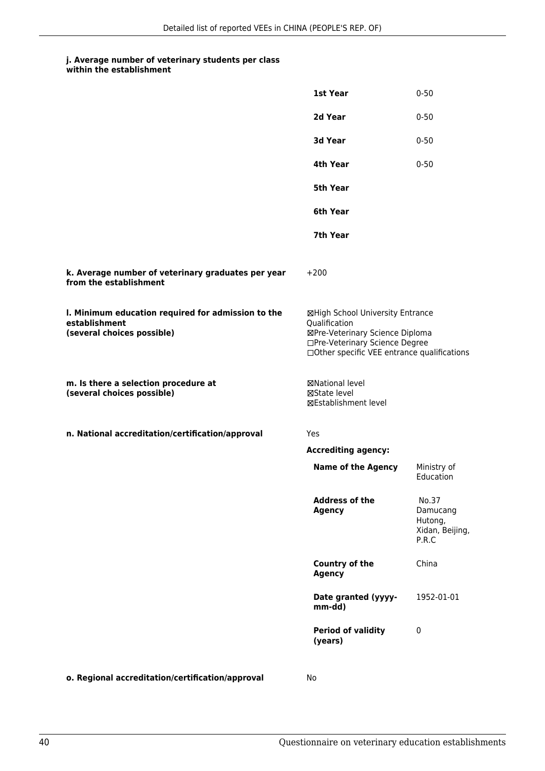#### **j. Average number of veterinary students per class within the establishment**

|                                                                                                   | 1st Year                                                                                                                                                              | $0 - 50$                                                 |
|---------------------------------------------------------------------------------------------------|-----------------------------------------------------------------------------------------------------------------------------------------------------------------------|----------------------------------------------------------|
|                                                                                                   | 2d Year                                                                                                                                                               | $0 - 50$                                                 |
|                                                                                                   | 3d Year                                                                                                                                                               | $0 - 50$                                                 |
|                                                                                                   | 4th Year                                                                                                                                                              | $0 - 50$                                                 |
|                                                                                                   | <b>5th Year</b>                                                                                                                                                       |                                                          |
|                                                                                                   | 6th Year                                                                                                                                                              |                                                          |
|                                                                                                   | 7th Year                                                                                                                                                              |                                                          |
| k. Average number of veterinary graduates per year<br>from the establishment                      | $+200$                                                                                                                                                                |                                                          |
| I. Minimum education required for admission to the<br>establishment<br>(several choices possible) | ⊠High School University Entrance<br>Qualification<br>⊠Pre-Veterinary Science Diploma<br>□Pre-Veterinary Science Degree<br>□Other specific VEE entrance qualifications |                                                          |
| m. Is there a selection procedure at<br>(several choices possible)                                | ⊠National level<br>⊠State level<br>⊠Establishment level                                                                                                               |                                                          |
| n. National accreditation/certification/approval                                                  | Yes                                                                                                                                                                   |                                                          |
|                                                                                                   | <b>Accrediting agency:</b>                                                                                                                                            |                                                          |
|                                                                                                   | <b>Name of the Agency</b>                                                                                                                                             | Ministry of<br>Education                                 |
|                                                                                                   | <b>Address of the</b><br><b>Agency</b>                                                                                                                                | No.37<br>Damucang<br>Hutong,<br>Xidan, Beijing,<br>P.R.C |
|                                                                                                   | Country of the<br><b>Agency</b>                                                                                                                                       | China                                                    |
|                                                                                                   | Date granted (yyyy-<br>mm-dd)                                                                                                                                         | 1952-01-01                                               |
|                                                                                                   | <b>Period of validity</b><br>(years)                                                                                                                                  | 0                                                        |
|                                                                                                   |                                                                                                                                                                       |                                                          |

**o. Regional accreditation/certification/approval** No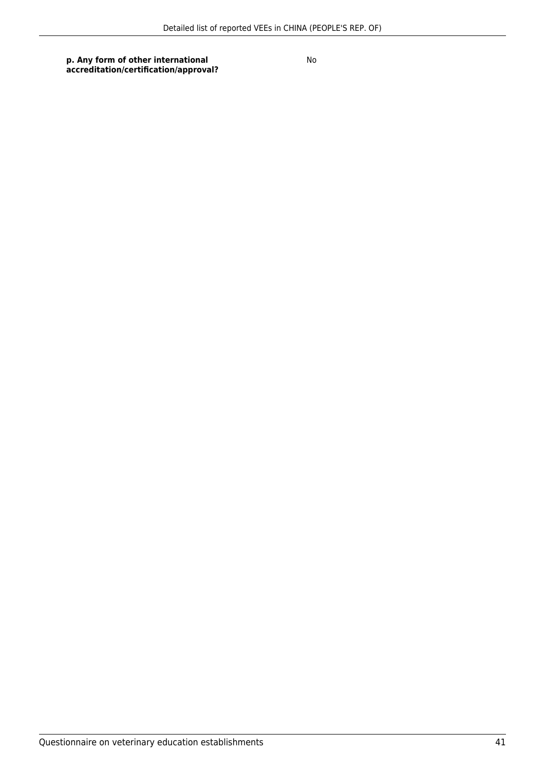**p. Any form of other international accreditation/certification/approval?**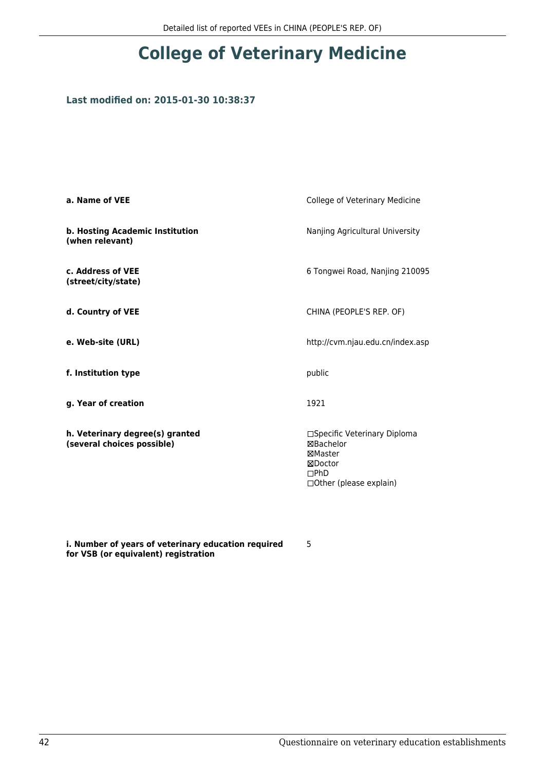## **Last modified on: 2015-01-30 10:38:37**

| a. Name of VEE                                                | College of Veterinary Medicine                                                                           |
|---------------------------------------------------------------|----------------------------------------------------------------------------------------------------------|
| b. Hosting Academic Institution<br>(when relevant)            | Nanjing Agricultural University                                                                          |
| c. Address of VEE<br>(street/city/state)                      | 6 Tongwei Road, Nanjing 210095                                                                           |
| d. Country of VEE                                             | CHINA (PEOPLE'S REP. OF)                                                                                 |
| e. Web-site (URL)                                             | http://cvm.njau.edu.cn/index.asp                                                                         |
| f. Institution type                                           | public                                                                                                   |
| g. Year of creation                                           | 1921                                                                                                     |
| h. Veterinary degree(s) granted<br>(several choices possible) | □Specific Veterinary Diploma<br>⊠Bachelor<br>⊠Master<br>⊠Doctor<br>DPhD<br>$\Box$ Other (please explain) |

**i. Number of years of veterinary education required for VSB (or equivalent) registration**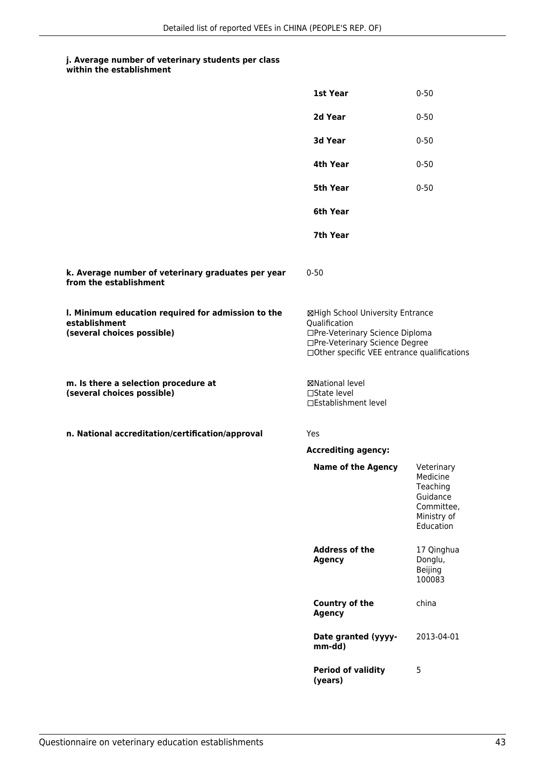| within the establishment |
|--------------------------|
|                          |

|                                                                                                   | 1st Year                                                                                                                                                              | $0 - 50$                                                                                 |
|---------------------------------------------------------------------------------------------------|-----------------------------------------------------------------------------------------------------------------------------------------------------------------------|------------------------------------------------------------------------------------------|
|                                                                                                   | 2d Year                                                                                                                                                               | $0 - 50$                                                                                 |
|                                                                                                   | 3d Year                                                                                                                                                               | $0 - 50$                                                                                 |
|                                                                                                   | 4th Year                                                                                                                                                              | $0 - 50$                                                                                 |
|                                                                                                   | 5th Year                                                                                                                                                              | $0 - 50$                                                                                 |
|                                                                                                   | 6th Year                                                                                                                                                              |                                                                                          |
|                                                                                                   | 7th Year                                                                                                                                                              |                                                                                          |
| k. Average number of veterinary graduates per year<br>from the establishment                      | $0 - 50$                                                                                                                                                              |                                                                                          |
| I. Minimum education required for admission to the<br>establishment<br>(several choices possible) | ⊠High School University Entrance<br>Qualification<br>□Pre-Veterinary Science Diploma<br>□Pre-Veterinary Science Degree<br>□Other specific VEE entrance qualifications |                                                                                          |
| m. Is there a selection procedure at<br>(several choices possible)                                | <b>⊠National level</b><br>$\Box$ State level<br>□Establishment level                                                                                                  |                                                                                          |
| n. National accreditation/certification/approval                                                  | Yes                                                                                                                                                                   |                                                                                          |
|                                                                                                   | <b>Accrediting agency:</b>                                                                                                                                            |                                                                                          |
|                                                                                                   | <b>Name of the Agency</b>                                                                                                                                             | Veterinary<br>Medicine<br>Teaching<br>Guidance<br>Committee,<br>Ministry of<br>Education |
|                                                                                                   | <b>Address of the</b><br><b>Agency</b>                                                                                                                                | 17 Qinghua<br>Donglu,<br>Beijing<br>100083                                               |
|                                                                                                   | <b>Country of the</b><br><b>Agency</b>                                                                                                                                | china                                                                                    |
|                                                                                                   | Date granted (yyyy-<br>mm-dd)                                                                                                                                         | 2013-04-01                                                                               |
|                                                                                                   | <b>Period of validity</b><br>(years)                                                                                                                                  | 5                                                                                        |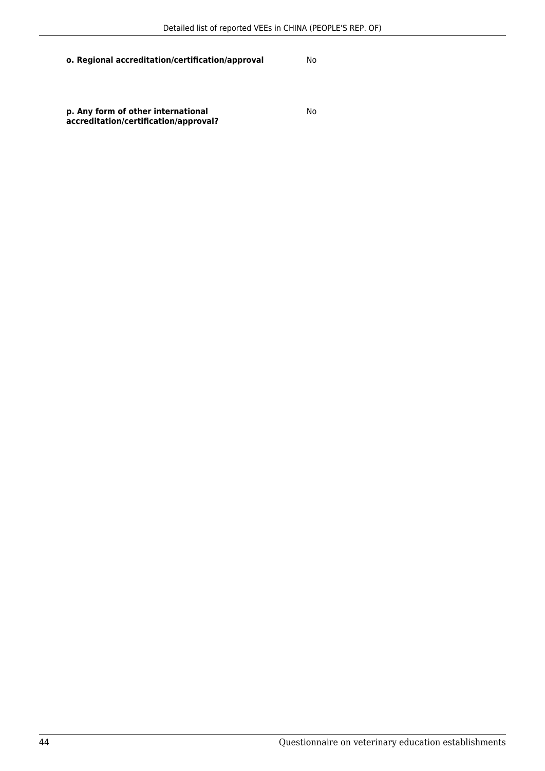## **o. Regional accreditation/certification/approval** No

**p. Any form of other international accreditation/certification/approval?**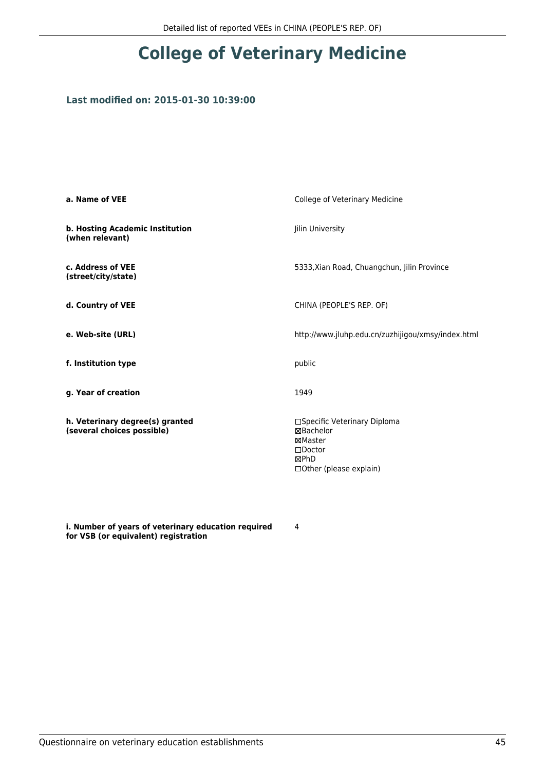## **Last modified on: 2015-01-30 10:39:00**

| a. Name of VEE                                                | College of Veterinary Medicine                                                                              |
|---------------------------------------------------------------|-------------------------------------------------------------------------------------------------------------|
| b. Hosting Academic Institution<br>(when relevant)            | Jilin University                                                                                            |
| c. Address of VEE<br>(street/city/state)                      | 5333, Xian Road, Chuangchun, Jilin Province                                                                 |
| d. Country of VEE                                             | CHINA (PEOPLE'S REP. OF)                                                                                    |
| e. Web-site (URL)                                             | http://www.jluhp.edu.cn/zuzhijigou/xmsy/index.html                                                          |
| f. Institution type                                           | public                                                                                                      |
| g. Year of creation                                           | 1949                                                                                                        |
| h. Veterinary degree(s) granted<br>(several choices possible) | □Specific Veterinary Diploma<br>⊠Bachelor<br>⊠Master<br>$\square$ Doctor<br>⊠PhD<br>□Other (please explain) |

**i. Number of years of veterinary education required for VSB (or equivalent) registration**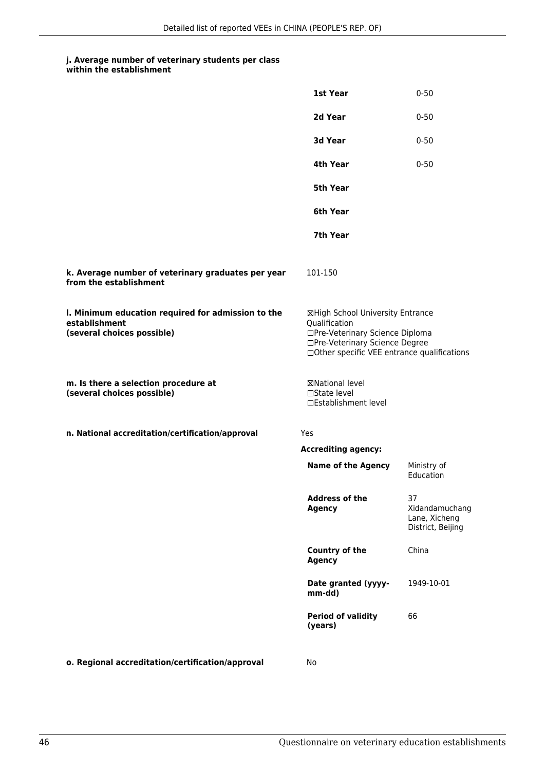#### **j. Average number of veterinary students per class within the establishment**

|                                                                                                   | 1st Year                                                                                                                                                              | $0 - 50$                                                   |
|---------------------------------------------------------------------------------------------------|-----------------------------------------------------------------------------------------------------------------------------------------------------------------------|------------------------------------------------------------|
|                                                                                                   | 2d Year                                                                                                                                                               | $0 - 50$                                                   |
|                                                                                                   | 3d Year                                                                                                                                                               | $0 - 50$                                                   |
|                                                                                                   | 4th Year                                                                                                                                                              | $0 - 50$                                                   |
|                                                                                                   | 5th Year                                                                                                                                                              |                                                            |
|                                                                                                   | 6th Year                                                                                                                                                              |                                                            |
|                                                                                                   | 7th Year                                                                                                                                                              |                                                            |
| k. Average number of veterinary graduates per year<br>from the establishment                      | 101-150                                                                                                                                                               |                                                            |
| I. Minimum education required for admission to the<br>establishment<br>(several choices possible) | ⊠High School University Entrance<br>Qualification<br>□Pre-Veterinary Science Diploma<br>□Pre-Veterinary Science Degree<br>□Other specific VEE entrance qualifications |                                                            |
| m. Is there a selection procedure at<br>(several choices possible)                                | ⊠National level<br>$\square$ State level<br>□Establishment level                                                                                                      |                                                            |
| n. National accreditation/certification/approval                                                  | Yes                                                                                                                                                                   |                                                            |
|                                                                                                   | <b>Accrediting agency:</b>                                                                                                                                            |                                                            |
|                                                                                                   | <b>Name of the Agency</b>                                                                                                                                             | Ministry of<br>Education                                   |
|                                                                                                   | <b>Address of the</b><br><b>Agency</b>                                                                                                                                | 37<br>Xidandamuchang<br>Lane, Xicheng<br>District, Beijing |
|                                                                                                   | <b>Country of the</b><br><b>Agency</b>                                                                                                                                | China                                                      |
|                                                                                                   | Date granted (yyyy-<br>mm-dd)                                                                                                                                         | 1949-10-01                                                 |
|                                                                                                   | <b>Period of validity</b><br>(years)                                                                                                                                  | 66                                                         |
| o. Regional accreditation/certification/approval                                                  | No                                                                                                                                                                    |                                                            |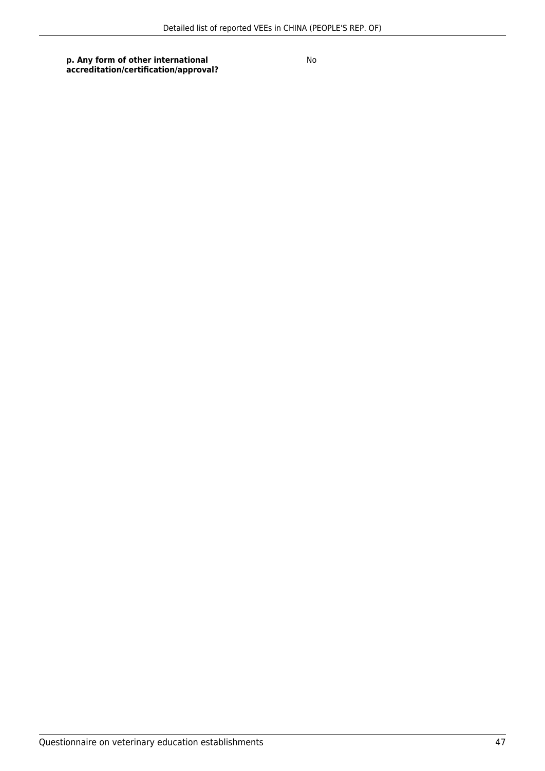**p. Any form of other international accreditation/certification/approval?**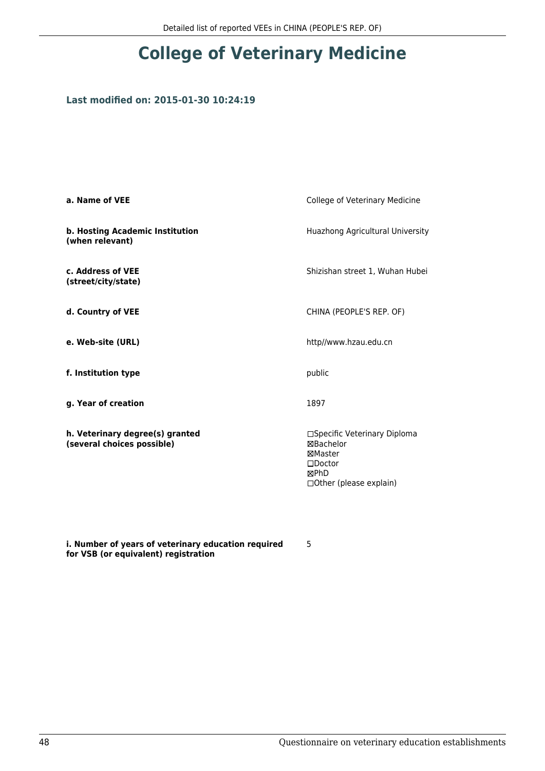## **Last modified on: 2015-01-30 10:24:19**

| a. Name of VEE                                                | College of Veterinary Medicine                                                                            |
|---------------------------------------------------------------|-----------------------------------------------------------------------------------------------------------|
| b. Hosting Academic Institution<br>(when relevant)            | Huazhong Agricultural University                                                                          |
| c. Address of VEE<br>(street/city/state)                      | Shizishan street 1, Wuhan Hubei                                                                           |
| d. Country of VEE                                             | CHINA (PEOPLE'S REP. OF)                                                                                  |
| e. Web-site (URL)                                             | http//www.hzau.edu.cn                                                                                     |
| f. Institution type                                           | public                                                                                                    |
| g. Year of creation                                           | 1897                                                                                                      |
| h. Veterinary degree(s) granted<br>(several choices possible) | □Specific Veterinary Diploma<br>⊠Bachelor<br>⊠Master<br>$\Box$ Doctor<br>⊠PhD<br>□ Other (please explain) |

**i. Number of years of veterinary education required for VSB (or equivalent) registration**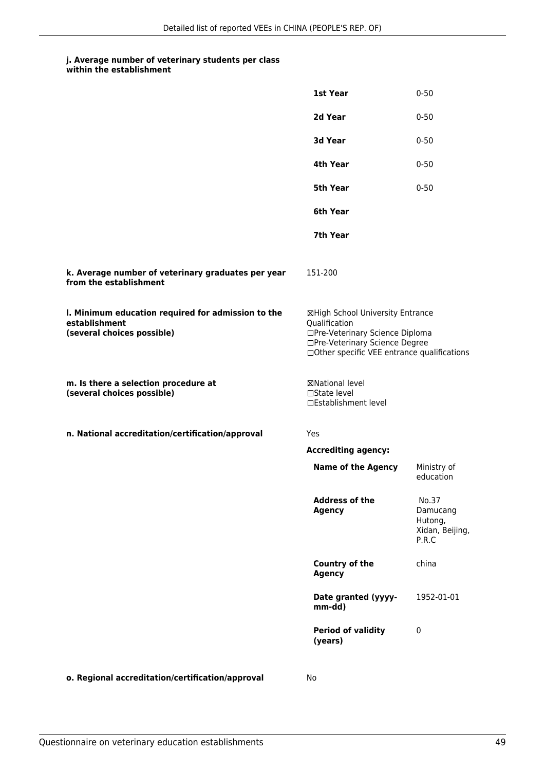| within the establishment |
|--------------------------|
|                          |

|                                                                                                   | 1st Year                                                                                                                                                              | $0 - 50$                                                 |
|---------------------------------------------------------------------------------------------------|-----------------------------------------------------------------------------------------------------------------------------------------------------------------------|----------------------------------------------------------|
|                                                                                                   | 2d Year                                                                                                                                                               | $0 - 50$                                                 |
|                                                                                                   | 3d Year                                                                                                                                                               | $0 - 50$                                                 |
|                                                                                                   | 4th Year                                                                                                                                                              | $0 - 50$                                                 |
|                                                                                                   | 5th Year                                                                                                                                                              | $0 - 50$                                                 |
|                                                                                                   | 6th Year                                                                                                                                                              |                                                          |
|                                                                                                   | 7th Year                                                                                                                                                              |                                                          |
| k. Average number of veterinary graduates per year<br>from the establishment                      | 151-200                                                                                                                                                               |                                                          |
| I. Minimum education required for admission to the<br>establishment<br>(several choices possible) | ⊠High School University Entrance<br>Qualification<br>□Pre-Veterinary Science Diploma<br>□Pre-Veterinary Science Degree<br>□Other specific VEE entrance qualifications |                                                          |
| m. Is there a selection procedure at<br>(several choices possible)                                | ⊠National level<br>$\Box$ State level<br>□Establishment level                                                                                                         |                                                          |
| n. National accreditation/certification/approval                                                  | Yes                                                                                                                                                                   |                                                          |
|                                                                                                   | <b>Accrediting agency:</b>                                                                                                                                            |                                                          |
|                                                                                                   | <b>Name of the Agency</b>                                                                                                                                             | Ministry of<br>education                                 |
|                                                                                                   | <b>Address of the</b><br><b>Agency</b>                                                                                                                                | No.37<br>Damucang<br>Hutong,<br>Xidan, Beijing,<br>P.R.C |
|                                                                                                   | Country of the<br><b>Agency</b>                                                                                                                                       | china                                                    |
|                                                                                                   | Date granted (yyyy-<br>mm-dd)                                                                                                                                         | 1952-01-01                                               |
|                                                                                                   | <b>Period of validity</b><br>(years)                                                                                                                                  | 0                                                        |
|                                                                                                   |                                                                                                                                                                       |                                                          |

**o. Regional accreditation/certification/approval** No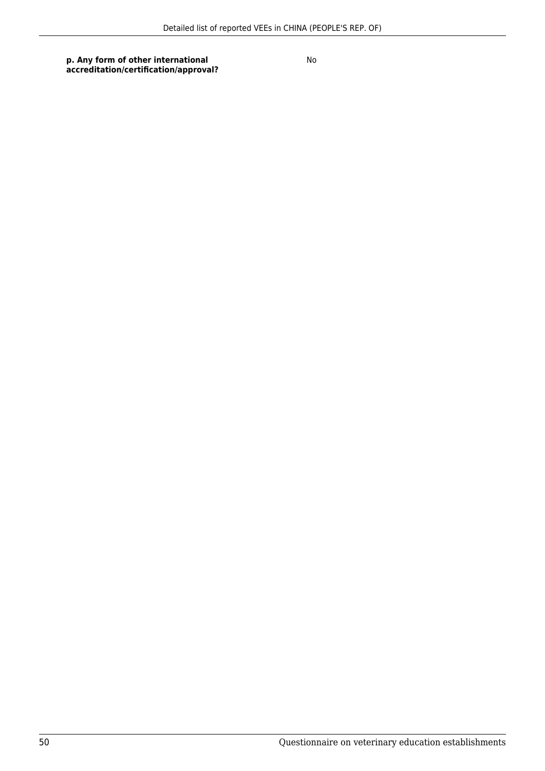**p. Any form of other international accreditation/certification/approval?**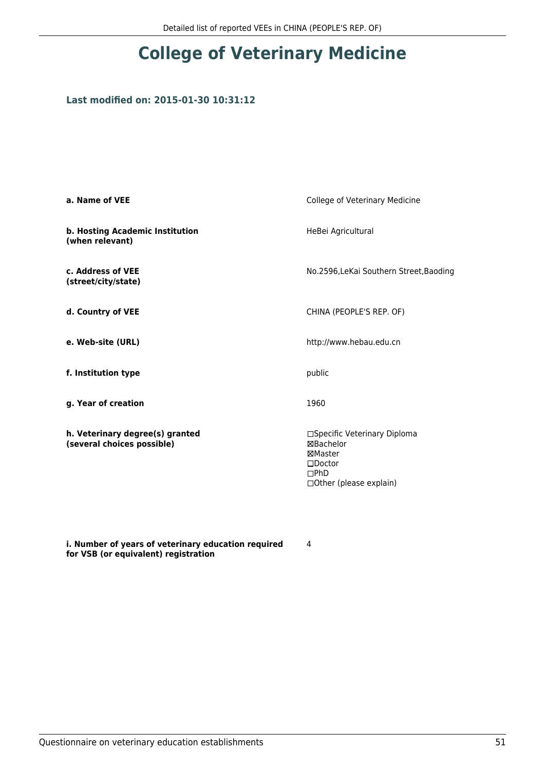## **Last modified on: 2015-01-30 10:31:12**

| a. Name of VEE                                                | College of Veterinary Medicine                                                                                      |
|---------------------------------------------------------------|---------------------------------------------------------------------------------------------------------------------|
| b. Hosting Academic Institution<br>(when relevant)            | HeBei Agricultural                                                                                                  |
| c. Address of VEE<br>(street/city/state)                      | No.2596, LeKai Southern Street, Baoding                                                                             |
| d. Country of VEE                                             | CHINA (PEOPLE'S REP. OF)                                                                                            |
| e. Web-site (URL)                                             | http://www.hebau.edu.cn                                                                                             |
| f. Institution type                                           | public                                                                                                              |
| g. Year of creation                                           | 1960                                                                                                                |
| h. Veterinary degree(s) granted<br>(several choices possible) | □Specific Veterinary Diploma<br><b>⊠Bachelor</b><br>⊠Master<br>$\square$ Doctor<br>DPhD<br>□ Other (please explain) |

**i. Number of years of veterinary education required for VSB (or equivalent) registration**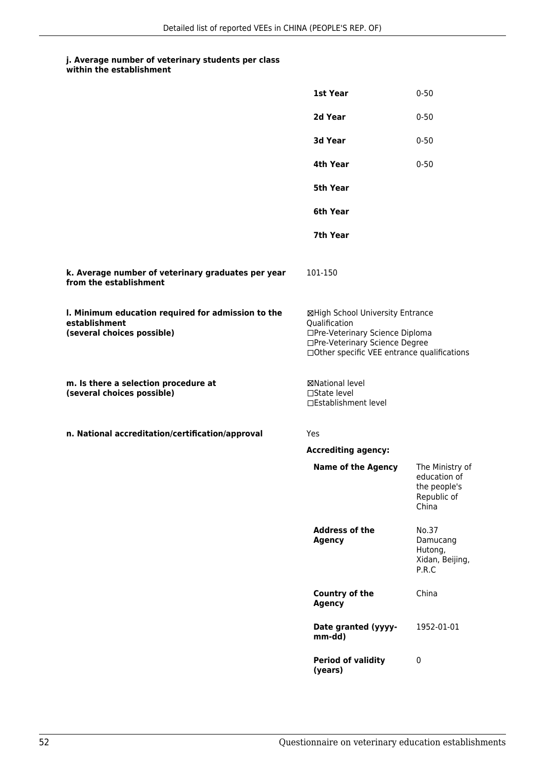#### **j. Average number of veterinary students per class within the establishment**

|                                                                                                   | 1st Year                                                                                                                                                               | $0 - 50$                                                                |
|---------------------------------------------------------------------------------------------------|------------------------------------------------------------------------------------------------------------------------------------------------------------------------|-------------------------------------------------------------------------|
|                                                                                                   | 2d Year                                                                                                                                                                | $0 - 50$                                                                |
|                                                                                                   | 3d Year                                                                                                                                                                | $0 - 50$                                                                |
|                                                                                                   | 4th Year                                                                                                                                                               | $0 - 50$                                                                |
|                                                                                                   | 5th Year                                                                                                                                                               |                                                                         |
|                                                                                                   | 6th Year                                                                                                                                                               |                                                                         |
|                                                                                                   | 7th Year                                                                                                                                                               |                                                                         |
| k. Average number of veterinary graduates per year<br>from the establishment                      | 101-150                                                                                                                                                                |                                                                         |
| I. Minimum education required for admission to the<br>establishment<br>(several choices possible) | ⊠High School University Entrance<br>Qualification<br>□Pre-Veterinary Science Diploma<br>□Pre-Veterinary Science Degree<br>□ Other specific VEE entrance qualifications |                                                                         |
| m. Is there a selection procedure at<br>(several choices possible)                                | ⊠National level<br>$\Box$ State level<br>□Establishment level                                                                                                          |                                                                         |
| n. National accreditation/certification/approval                                                  | Yes                                                                                                                                                                    |                                                                         |
|                                                                                                   | <b>Accrediting agency:</b>                                                                                                                                             |                                                                         |
|                                                                                                   | <b>Name of the Agency</b>                                                                                                                                              | The Ministry of<br>education of<br>the people's<br>Republic of<br>China |
|                                                                                                   | <b>Address of the</b><br><b>Agency</b>                                                                                                                                 | No.37<br>Damucang<br>Hutong,<br>Xidan, Beijing,<br>P.R.C                |
|                                                                                                   | Country of the<br><b>Agency</b>                                                                                                                                        | China                                                                   |
|                                                                                                   | Date granted (yyyy-<br>mm-dd)                                                                                                                                          | 1952-01-01                                                              |
|                                                                                                   | <b>Period of validity</b><br>(years)                                                                                                                                   | $\mathbf 0$                                                             |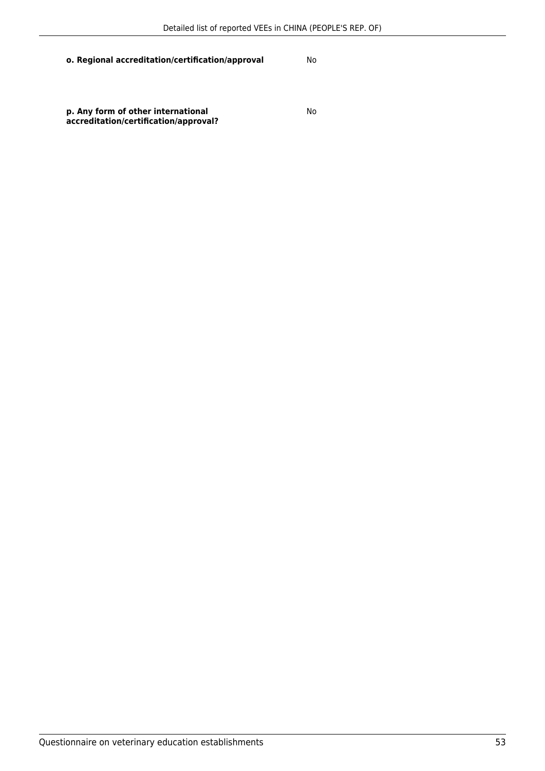## **o. Regional accreditation/certification/approval** No

**p. Any form of other international accreditation/certification/approval?**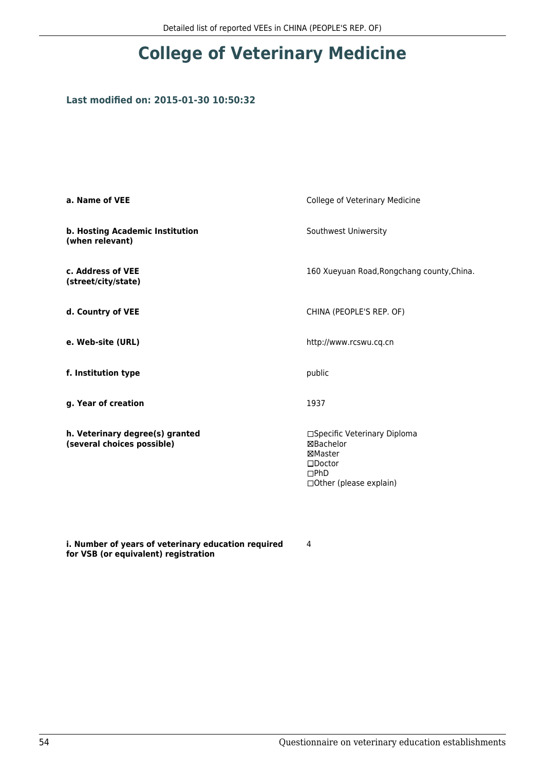## **Last modified on: 2015-01-30 10:50:32**

| a. Name of VEE                                                | College of Veterinary Medicine                                                                               |
|---------------------------------------------------------------|--------------------------------------------------------------------------------------------------------------|
| b. Hosting Academic Institution<br>(when relevant)            | Southwest Uniwersity                                                                                         |
| c. Address of VEE<br>(street/city/state)                      | 160 Xueyuan Road, Rongchang county, China.                                                                   |
| d. Country of VEE                                             | CHINA (PEOPLE'S REP. OF)                                                                                     |
| e. Web-site (URL)                                             | http://www.rcswu.cq.cn                                                                                       |
| f. Institution type                                           | public                                                                                                       |
| g. Year of creation                                           | 1937                                                                                                         |
| h. Veterinary degree(s) granted<br>(several choices possible) | □Specific Veterinary Diploma<br>⊠Bachelor<br>⊠Master<br>$\square$ Doctor<br>DPhD<br>□ Other (please explain) |

**i. Number of years of veterinary education required for VSB (or equivalent) registration**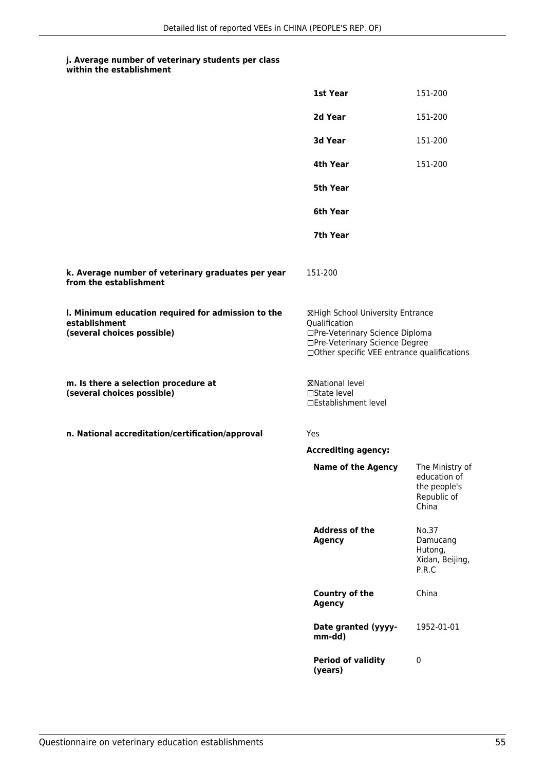|                                                                                                   | 1st Year                                                                                                                                                              | 151-200                                                                 |
|---------------------------------------------------------------------------------------------------|-----------------------------------------------------------------------------------------------------------------------------------------------------------------------|-------------------------------------------------------------------------|
|                                                                                                   | 2d Year                                                                                                                                                               | 151-200                                                                 |
|                                                                                                   | 3d Year                                                                                                                                                               | 151-200                                                                 |
|                                                                                                   | 4th Year                                                                                                                                                              | 151-200                                                                 |
|                                                                                                   | 5th Year                                                                                                                                                              |                                                                         |
|                                                                                                   | 6th Year                                                                                                                                                              |                                                                         |
|                                                                                                   | 7th Year                                                                                                                                                              |                                                                         |
| k. Average number of veterinary graduates per year<br>from the establishment                      | 151-200                                                                                                                                                               |                                                                         |
| I. Minimum education required for admission to the<br>establishment<br>(several choices possible) | ⊠High School University Entrance<br>Qualification<br>□Pre-Veterinary Science Diploma<br>□Pre-Veterinary Science Degree<br>□Other specific VEE entrance qualifications |                                                                         |
| m. Is there a selection procedure at<br>(several choices possible)                                | ⊠National level<br>□State level<br>□Establishment level                                                                                                               |                                                                         |
| n. National accreditation/certification/approval                                                  | Yes                                                                                                                                                                   |                                                                         |
|                                                                                                   | <b>Accrediting agency:</b>                                                                                                                                            |                                                                         |
|                                                                                                   | <b>Name of the Agency</b>                                                                                                                                             | The Ministry of<br>education of<br>the people's<br>Republic of<br>China |
|                                                                                                   | <b>Address of the</b><br><b>Agency</b>                                                                                                                                | No.37<br>Damucang<br>Hutong,<br>Xidan, Beijing,<br>P.R.C                |
|                                                                                                   | <b>Country of the</b><br><b>Agency</b>                                                                                                                                | China                                                                   |
|                                                                                                   | Date granted (yyyy-<br>mm-dd)                                                                                                                                         | 1952-01-01                                                              |
|                                                                                                   | <b>Period of validity</b><br>(years)                                                                                                                                  | 0                                                                       |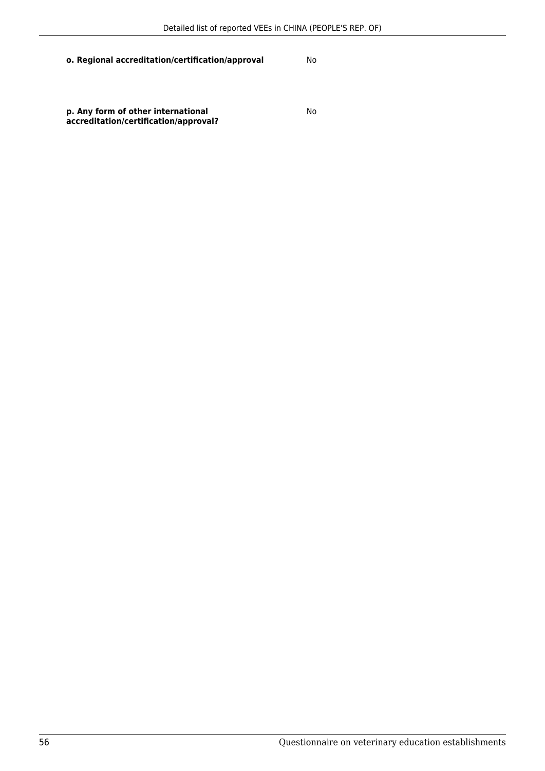## **o. Regional accreditation/certification/approval** No

**p. Any form of other international accreditation/certification/approval?**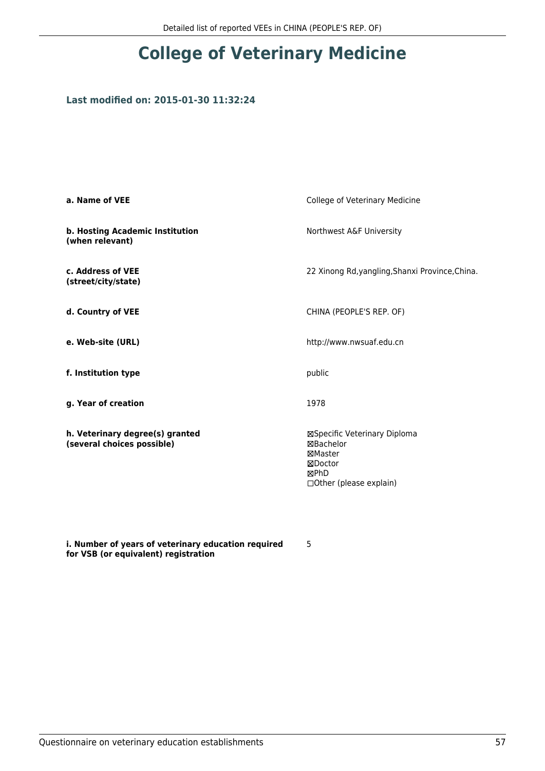## **Last modified on: 2015-01-30 11:32:24**

| a. Name of VEE                                                | College of Veterinary Medicine                                                                            |
|---------------------------------------------------------------|-----------------------------------------------------------------------------------------------------------|
| b. Hosting Academic Institution<br>(when relevant)            | Northwest A&F University                                                                                  |
| c. Address of VEE<br>(street/city/state)                      | 22 Xinong Rd, yangling, Shanxi Province, China.                                                           |
| d. Country of VEE                                             | CHINA (PEOPLE'S REP. OF)                                                                                  |
| e. Web-site (URL)                                             | http://www.nwsuaf.edu.cn                                                                                  |
| f. Institution type                                           | public                                                                                                    |
| g. Year of creation                                           | 1978                                                                                                      |
| h. Veterinary degree(s) granted<br>(several choices possible) | ⊠Specific Veterinary Diploma<br><b>⊠Bachelor</b><br>⊠Master<br>⊠Doctor<br>⊠PhD<br>□Other (please explain) |

**i. Number of years of veterinary education required for VSB (or equivalent) registration**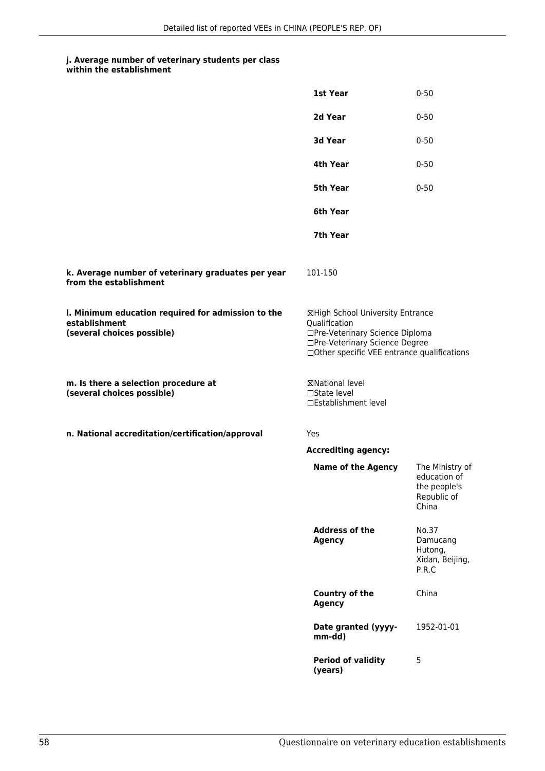|                                                                                                   | 1st Year                                                                                                                                                              | $0 - 50$                                                                |
|---------------------------------------------------------------------------------------------------|-----------------------------------------------------------------------------------------------------------------------------------------------------------------------|-------------------------------------------------------------------------|
|                                                                                                   | 2d Year                                                                                                                                                               | $0 - 50$                                                                |
|                                                                                                   | 3d Year                                                                                                                                                               | $0 - 50$                                                                |
|                                                                                                   | 4th Year                                                                                                                                                              | $0 - 50$                                                                |
|                                                                                                   | <b>5th Year</b>                                                                                                                                                       | $0 - 50$                                                                |
|                                                                                                   | 6th Year                                                                                                                                                              |                                                                         |
|                                                                                                   | 7th Year                                                                                                                                                              |                                                                         |
| k. Average number of veterinary graduates per year<br>from the establishment                      | 101-150                                                                                                                                                               |                                                                         |
| I. Minimum education required for admission to the<br>establishment<br>(several choices possible) | ⊠High School University Entrance<br>Qualification<br>□Pre-Veterinary Science Diploma<br>□Pre-Veterinary Science Degree<br>□Other specific VEE entrance qualifications |                                                                         |
| m. Is there a selection procedure at<br>(several choices possible)                                | ⊠National level<br>$\Box$ State level<br>□Establishment level                                                                                                         |                                                                         |
| n. National accreditation/certification/approval                                                  | Yes                                                                                                                                                                   |                                                                         |
|                                                                                                   | <b>Accrediting agency:</b>                                                                                                                                            |                                                                         |
|                                                                                                   | <b>Name of the Agency</b>                                                                                                                                             | The Ministry of<br>education of<br>the people's<br>Republic of<br>China |
|                                                                                                   | <b>Address of the</b><br><b>Agency</b>                                                                                                                                | No.37<br>Damucang<br>Hutong,<br>Xidan, Beijing,<br>P.R.C                |
|                                                                                                   | <b>Country of the</b><br><b>Agency</b>                                                                                                                                | China                                                                   |
|                                                                                                   | Date granted (yyyy-<br>mm-dd)                                                                                                                                         | 1952-01-01                                                              |
|                                                                                                   | <b>Period of validity</b><br>(years)                                                                                                                                  | 5                                                                       |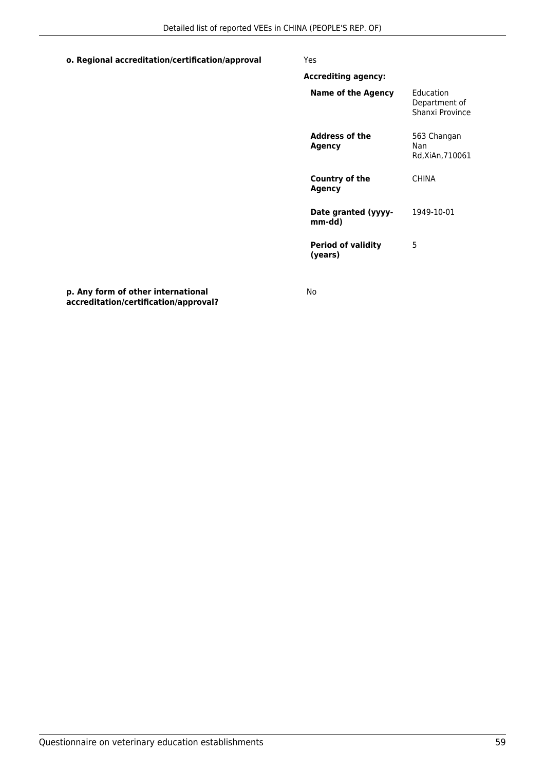## **o. Regional accreditation/certification/approval** Yes

| <b>Accrediting agency:</b>           |                                               |
|--------------------------------------|-----------------------------------------------|
| Name of the Agency                   | Fducation<br>Department of<br>Shanxi Province |
| Address of the<br>Agency             | 563 Changan<br>Nan<br>Rd,XiAn,710061          |
| Country of the<br>Agency             | <b>CHINA</b>                                  |
| Date granted (yyyy-<br>mm-dd)        | 1949-10-01                                    |
| <b>Period of validity</b><br>(vears) | 5                                             |

**p. Any form of other international accreditation/certification/approval?**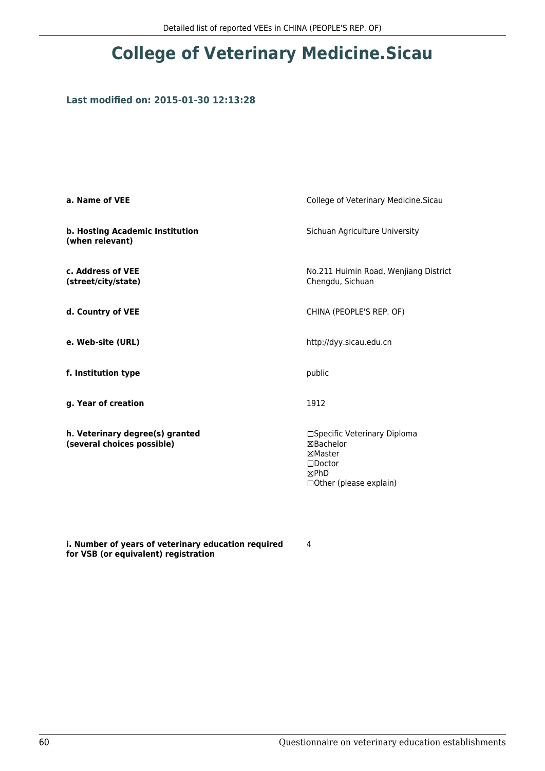## **Last modified on: 2015-01-30 12:13:28**

| a. Name of VEE                                                | College of Veterinary Medicine. Sicau                                                                        |
|---------------------------------------------------------------|--------------------------------------------------------------------------------------------------------------|
| b. Hosting Academic Institution<br>(when relevant)            | Sichuan Agriculture University                                                                               |
| c. Address of VEE<br>(street/city/state)                      | No.211 Huimin Road, Wenjiang District<br>Chengdu, Sichuan                                                    |
| d. Country of VEE                                             | CHINA (PEOPLE'S REP. OF)                                                                                     |
| e. Web-site (URL)                                             | http://dyy.sicau.edu.cn                                                                                      |
| f. Institution type                                           | public                                                                                                       |
| g. Year of creation                                           | 1912                                                                                                         |
| h. Veterinary degree(s) granted<br>(several choices possible) | □Specific Veterinary Diploma<br>⊠Bachelor<br>⊠Master<br>$\square$ Doctor<br>⊠PhD<br>□ Other (please explain) |

**i. Number of years of veterinary education required for VSB (or equivalent) registration**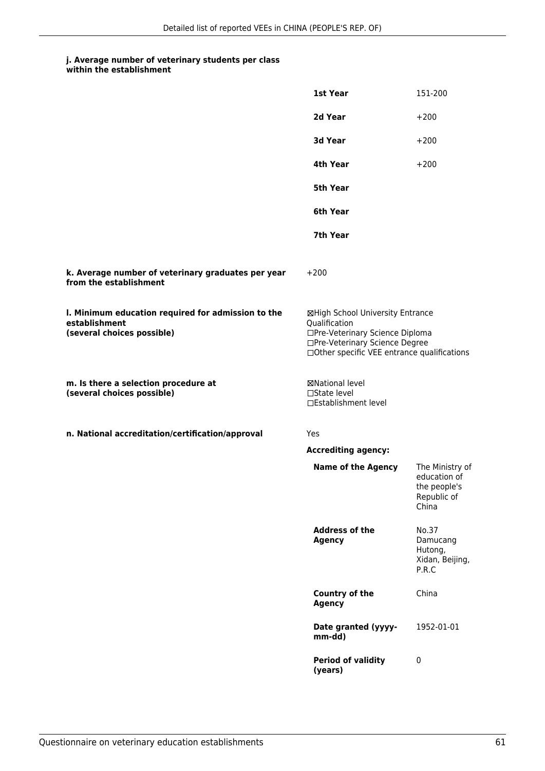|                                                                                                   | 1st Year                                                                                                                                                              | 151-200                                                                 |
|---------------------------------------------------------------------------------------------------|-----------------------------------------------------------------------------------------------------------------------------------------------------------------------|-------------------------------------------------------------------------|
|                                                                                                   | 2d Year                                                                                                                                                               | $+200$                                                                  |
|                                                                                                   | 3d Year                                                                                                                                                               | $+200$                                                                  |
|                                                                                                   | 4th Year                                                                                                                                                              | $+200$                                                                  |
|                                                                                                   | 5th Year                                                                                                                                                              |                                                                         |
|                                                                                                   | 6th Year                                                                                                                                                              |                                                                         |
|                                                                                                   | 7th Year                                                                                                                                                              |                                                                         |
| k. Average number of veterinary graduates per year<br>from the establishment                      | $+200$                                                                                                                                                                |                                                                         |
| I. Minimum education required for admission to the<br>establishment<br>(several choices possible) | ⊠High School University Entrance<br>Qualification<br>□Pre-Veterinary Science Diploma<br>□Pre-Veterinary Science Degree<br>□Other specific VEE entrance qualifications |                                                                         |
| m. Is there a selection procedure at<br>(several choices possible)                                | ⊠National level<br>□State level<br>□Establishment level                                                                                                               |                                                                         |
| n. National accreditation/certification/approval                                                  | Yes                                                                                                                                                                   |                                                                         |
|                                                                                                   | <b>Accrediting agency:</b>                                                                                                                                            |                                                                         |
|                                                                                                   | <b>Name of the Agency</b>                                                                                                                                             | The Ministry of<br>education of<br>the people's<br>Republic of<br>China |
|                                                                                                   | <b>Address of the</b><br><b>Agency</b>                                                                                                                                | No.37<br>Damucang<br>Hutong,<br>Xidan, Beijing,<br>P.R.C                |
|                                                                                                   | <b>Country of the</b><br><b>Agency</b>                                                                                                                                | China                                                                   |
|                                                                                                   | Date granted (yyyy-<br>mm-dd)                                                                                                                                         | 1952-01-01                                                              |
|                                                                                                   | <b>Period of validity</b><br>(years)                                                                                                                                  | $\pmb{0}$                                                               |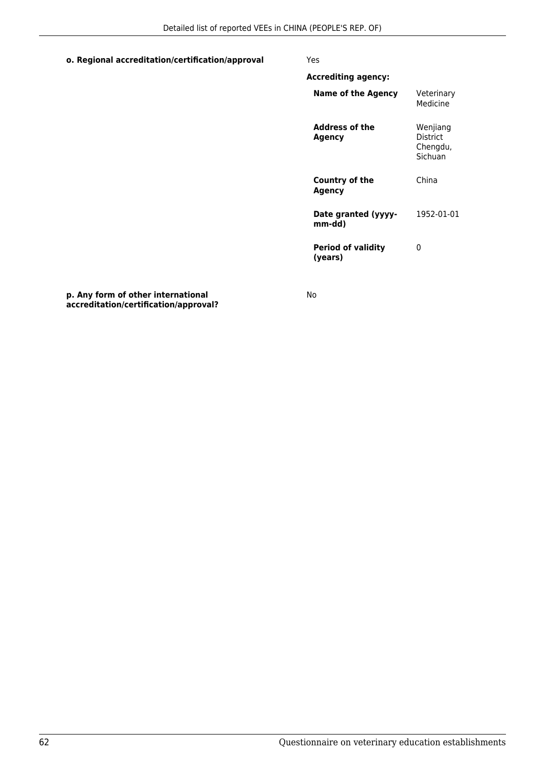#### **o. Regional accreditation/certification/approval** Yes

| <b>Accrediting agency:</b>           |                                             |
|--------------------------------------|---------------------------------------------|
| Name of the Agency                   | Veterinary<br>Medicine                      |
| Address of the<br>Agency             | Wenjiang<br>District<br>Chengdu,<br>Sichuan |
| Country of the<br>Agency             | China                                       |
| Date granted (yyyy-<br>mm-dd)        | 1952-01-01                                  |
| <b>Period of validity</b><br>(vears) | ი                                           |

**p. Any form of other international accreditation/certification/approval?**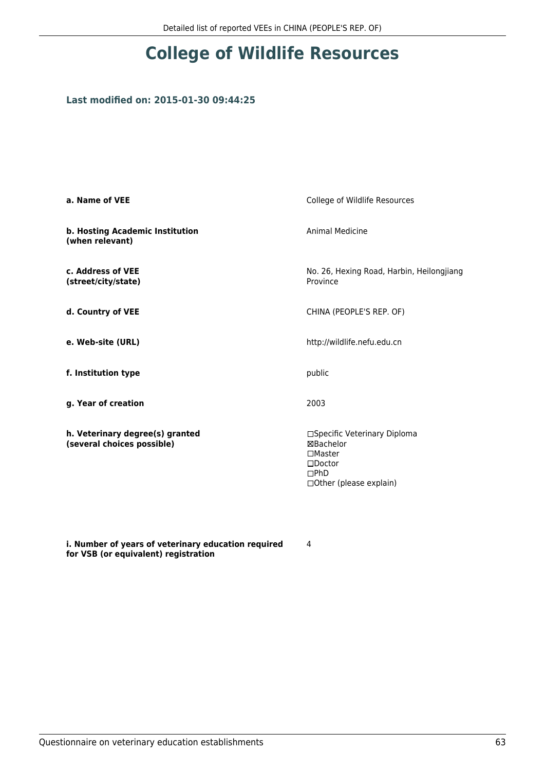# **College of Wildlife Resources**

## **Last modified on: 2015-01-30 09:44:25**

| a. Name of VEE                                                | College of Wildlife Resources                                                                                           |
|---------------------------------------------------------------|-------------------------------------------------------------------------------------------------------------------------|
| b. Hosting Academic Institution<br>(when relevant)            | <b>Animal Medicine</b>                                                                                                  |
| c. Address of VEE<br>(street/city/state)                      | No. 26, Hexing Road, Harbin, Heilongjiang<br>Province                                                                   |
| d. Country of VEE                                             | CHINA (PEOPLE'S REP. OF)                                                                                                |
| e. Web-site (URL)                                             | http://wildlife.nefu.edu.cn                                                                                             |
| f. Institution type                                           | public                                                                                                                  |
| g. Year of creation                                           | 2003                                                                                                                    |
| h. Veterinary degree(s) granted<br>(several choices possible) | □Specific Veterinary Diploma<br>⊠Bachelor<br>$\Box$ Master<br>$\square$ Doctor<br>DPhD<br>$\Box$ Other (please explain) |

**i. Number of years of veterinary education required for VSB (or equivalent) registration**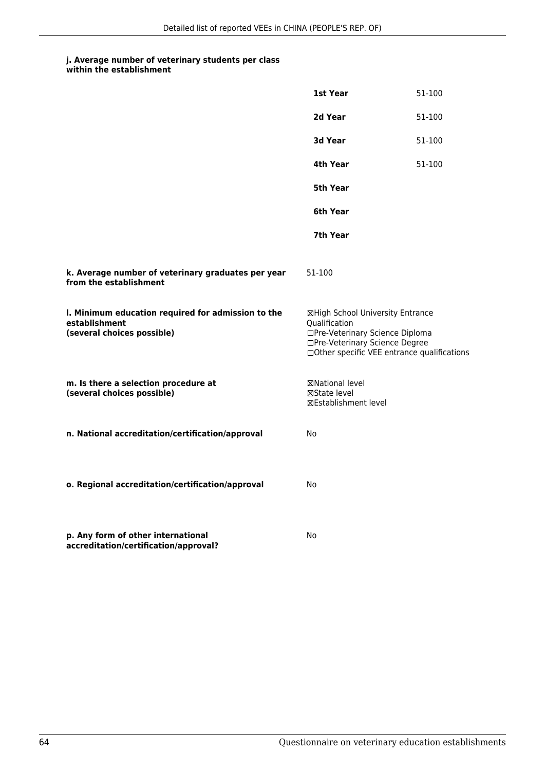|                                                                                                   | 1st Year                                                                                                                                                               | 51-100 |
|---------------------------------------------------------------------------------------------------|------------------------------------------------------------------------------------------------------------------------------------------------------------------------|--------|
|                                                                                                   | 2d Year                                                                                                                                                                | 51-100 |
|                                                                                                   | 3d Year                                                                                                                                                                | 51-100 |
|                                                                                                   | 4th Year                                                                                                                                                               | 51-100 |
|                                                                                                   | 5th Year                                                                                                                                                               |        |
|                                                                                                   | 6th Year                                                                                                                                                               |        |
|                                                                                                   | 7th Year                                                                                                                                                               |        |
| k. Average number of veterinary graduates per year<br>from the establishment                      | 51-100                                                                                                                                                                 |        |
| I. Minimum education required for admission to the<br>establishment<br>(several choices possible) | ⊠High School University Entrance<br>Qualification<br>□Pre-Veterinary Science Diploma<br>□Pre-Veterinary Science Degree<br>□ Other specific VEE entrance qualifications |        |
| m. Is there a selection procedure at<br>(several choices possible)                                | ⊠National level<br>⊠State level<br>⊠Establishment level                                                                                                                |        |
| n. National accreditation/certification/approval                                                  | No                                                                                                                                                                     |        |
| o. Regional accreditation/certification/approval                                                  | No                                                                                                                                                                     |        |
| p. Any form of other international<br>accreditation/certification/approval?                       | No                                                                                                                                                                     |        |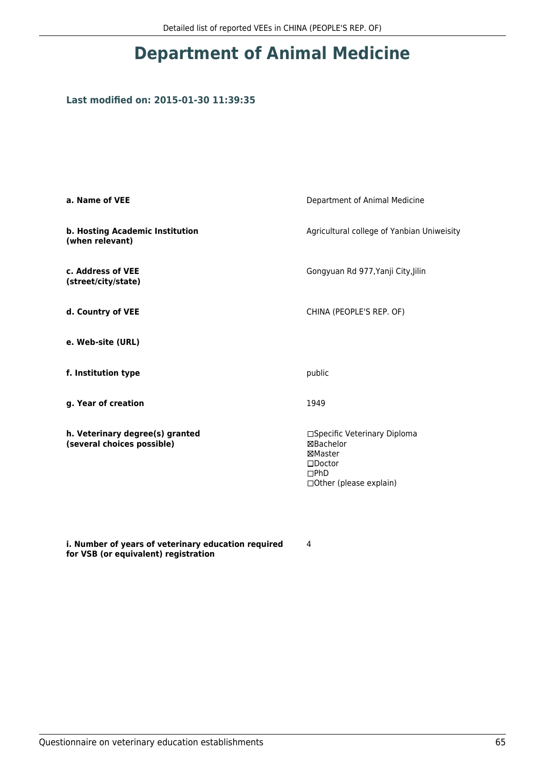# **Department of Animal Medicine**

## **Last modified on: 2015-01-30 11:39:35**

| a. Name of VEE                                                | Department of Animal Medicine                                                                               |
|---------------------------------------------------------------|-------------------------------------------------------------------------------------------------------------|
| b. Hosting Academic Institution<br>(when relevant)            | Agricultural college of Yanbian Uniweisity                                                                  |
| c. Address of VEE<br>(street/city/state)                      | Gongyuan Rd 977, Yanji City, Jilin                                                                          |
| d. Country of VEE                                             | CHINA (PEOPLE'S REP. OF)                                                                                    |
| e. Web-site (URL)                                             |                                                                                                             |
| f. Institution type                                           | public                                                                                                      |
| g. Year of creation                                           | 1949                                                                                                        |
| h. Veterinary degree(s) granted<br>(several choices possible) | □Specific Veterinary Diploma<br>⊠Bachelor<br>⊠Master<br>$\square$ Doctor<br>DPhD<br>□Other (please explain) |

**i. Number of years of veterinary education required for VSB (or equivalent) registration**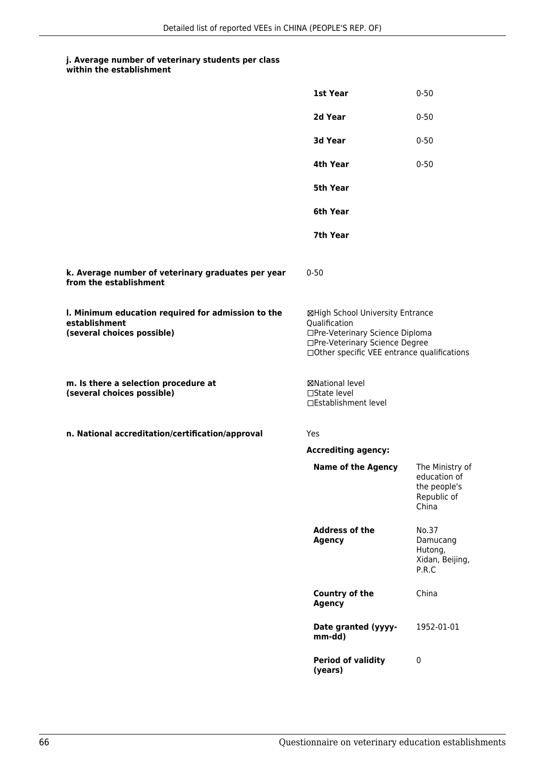#### **j. Average number of veterinary students per class within the establishment**

|                                                                                                   | 1st Year                                                                                                                                                              | $0 - 50$                                                                |
|---------------------------------------------------------------------------------------------------|-----------------------------------------------------------------------------------------------------------------------------------------------------------------------|-------------------------------------------------------------------------|
|                                                                                                   | 2d Year                                                                                                                                                               | $0 - 50$                                                                |
|                                                                                                   | 3d Year                                                                                                                                                               | $0 - 50$                                                                |
|                                                                                                   | 4th Year                                                                                                                                                              | $0 - 50$                                                                |
|                                                                                                   | <b>5th Year</b>                                                                                                                                                       |                                                                         |
|                                                                                                   | 6th Year                                                                                                                                                              |                                                                         |
|                                                                                                   | 7th Year                                                                                                                                                              |                                                                         |
| k. Average number of veterinary graduates per year<br>from the establishment                      | $0 - 50$                                                                                                                                                              |                                                                         |
| I. Minimum education required for admission to the<br>establishment<br>(several choices possible) | ⊠High School University Entrance<br>Qualification<br>□Pre-Veterinary Science Diploma<br>□Pre-Veterinary Science Degree<br>□Other specific VEE entrance qualifications |                                                                         |
| m. Is there a selection procedure at<br>(several choices possible)                                | <b>⊠National level</b><br>$\Box$ State level<br>□Establishment level                                                                                                  |                                                                         |
| n. National accreditation/certification/approval                                                  | Yes                                                                                                                                                                   |                                                                         |
|                                                                                                   | <b>Accrediting agency:</b>                                                                                                                                            |                                                                         |
|                                                                                                   | <b>Name of the Agency</b>                                                                                                                                             | The Ministry of<br>education of<br>the people's<br>Republic of<br>China |
|                                                                                                   | <b>Address of the</b><br><b>Agency</b>                                                                                                                                | No.37<br>Damucang<br>Hutong,<br>Xidan, Beijing,<br>P.R.C                |
|                                                                                                   | Country of the<br><b>Agency</b>                                                                                                                                       | China                                                                   |
|                                                                                                   | Date granted (yyyy-<br>mm-dd)                                                                                                                                         | 1952-01-01                                                              |
|                                                                                                   | <b>Period of validity</b><br>(years)                                                                                                                                  | 0                                                                       |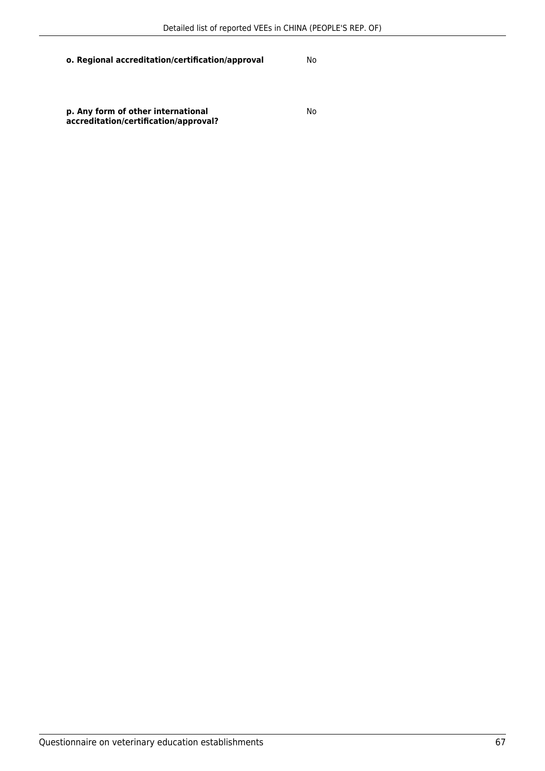### **o. Regional accreditation/certification/approval** No

**p. Any form of other international accreditation/certification/approval?**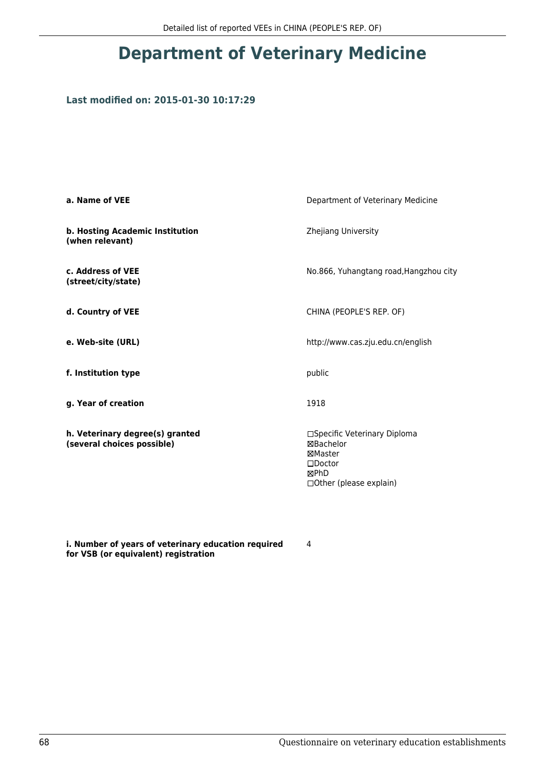# **Department of Veterinary Medicine**

## **Last modified on: 2015-01-30 10:17:29**

| a. Name of VEE                                                | Department of Veterinary Medicine                                                                            |
|---------------------------------------------------------------|--------------------------------------------------------------------------------------------------------------|
| b. Hosting Academic Institution<br>(when relevant)            | Zhejiang University                                                                                          |
| c. Address of VEE<br>(street/city/state)                      | No.866, Yuhangtang road, Hangzhou city                                                                       |
| d. Country of VEE                                             | CHINA (PEOPLE'S REP. OF)                                                                                     |
| e. Web-site (URL)                                             | http://www.cas.zju.edu.cn/english                                                                            |
| f. Institution type                                           | public                                                                                                       |
| g. Year of creation                                           | 1918                                                                                                         |
| h. Veterinary degree(s) granted<br>(several choices possible) | □Specific Veterinary Diploma<br>⊠Bachelor<br>⊠Master<br>$\square$ Doctor<br>⊠PhD<br>□ Other (please explain) |

**i. Number of years of veterinary education required for VSB (or equivalent) registration**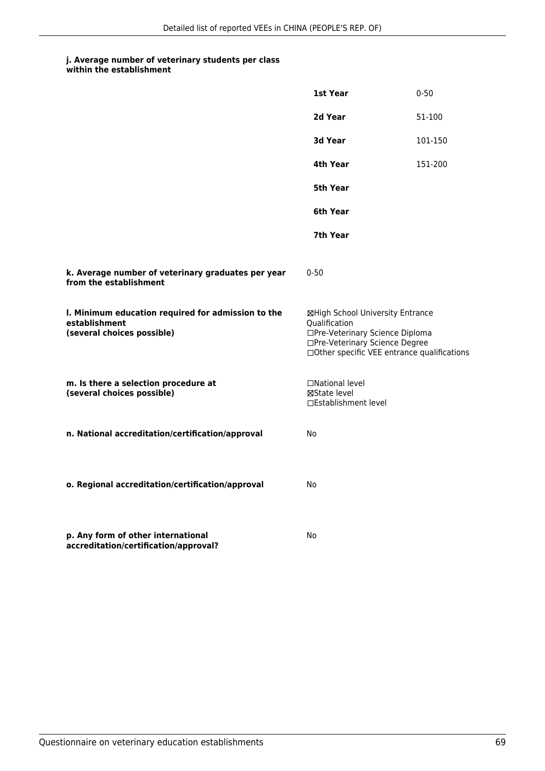| within the establishment |  |
|--------------------------|--|
|--------------------------|--|

|                                                                                                   | 1st Year                                                                                                                                                              | $0 - 50$ |
|---------------------------------------------------------------------------------------------------|-----------------------------------------------------------------------------------------------------------------------------------------------------------------------|----------|
|                                                                                                   | 2d Year                                                                                                                                                               | 51-100   |
|                                                                                                   | 3d Year                                                                                                                                                               | 101-150  |
|                                                                                                   | 4th Year                                                                                                                                                              | 151-200  |
|                                                                                                   | 5th Year                                                                                                                                                              |          |
|                                                                                                   | 6th Year                                                                                                                                                              |          |
|                                                                                                   | 7th Year                                                                                                                                                              |          |
| k. Average number of veterinary graduates per year<br>from the establishment                      | $0 - 50$                                                                                                                                                              |          |
| I. Minimum education required for admission to the<br>establishment<br>(several choices possible) | ⊠High School University Entrance<br>Oualification<br>□Pre-Veterinary Science Diploma<br>□Pre-Veterinary Science Degree<br>□Other specific VEE entrance qualifications |          |
| m. Is there a selection procedure at<br>(several choices possible)                                | □National level<br>⊠State level<br>□Establishment level                                                                                                               |          |
| n. National accreditation/certification/approval                                                  | No                                                                                                                                                                    |          |
| o. Regional accreditation/certification/approval                                                  | No                                                                                                                                                                    |          |
| p. Any form of other international<br>accreditation/certification/approval?                       | No                                                                                                                                                                    |          |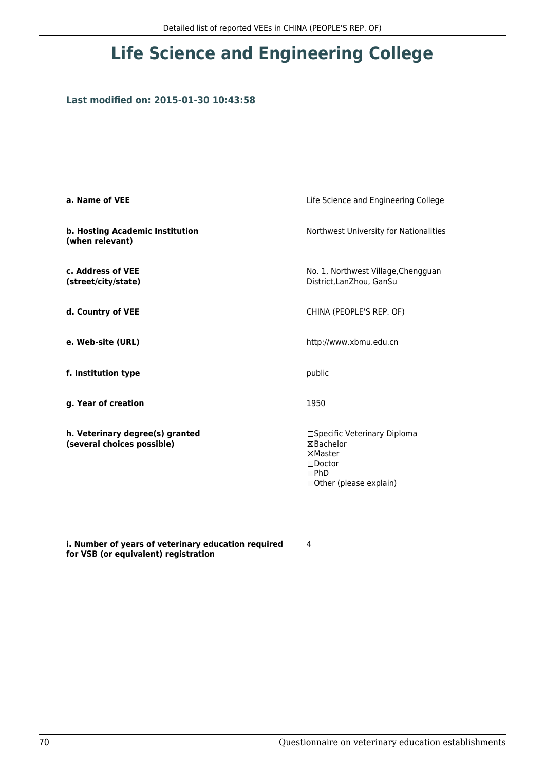# **Life Science and Engineering College**

## **Last modified on: 2015-01-30 10:43:58**

| a. Name of VEE                                                | Life Science and Engineering College                                                                         |
|---------------------------------------------------------------|--------------------------------------------------------------------------------------------------------------|
| b. Hosting Academic Institution<br>(when relevant)            | Northwest University for Nationalities                                                                       |
| c. Address of VEE<br>(street/city/state)                      | No. 1, Northwest Village, Chengguan<br>District, LanZhou, GanSu                                              |
| d. Country of VEE                                             | CHINA (PEOPLE'S REP. OF)                                                                                     |
| e. Web-site (URL)                                             | http://www.xbmu.edu.cn                                                                                       |
| f. Institution type                                           | public                                                                                                       |
| g. Year of creation                                           | 1950                                                                                                         |
| h. Veterinary degree(s) granted<br>(several choices possible) | □Specific Veterinary Diploma<br>⊠Bachelor<br>⊠Master<br>$\square$ Doctor<br>DPhD<br>□ Other (please explain) |

**i. Number of years of veterinary education required for VSB (or equivalent) registration**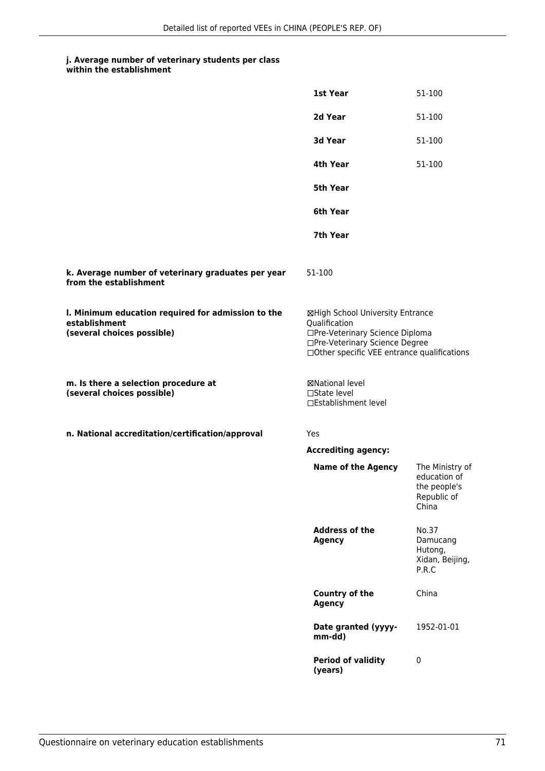|                                                                                                   | 1st Year                                                                                                                                                              | 51-100                                                                  |
|---------------------------------------------------------------------------------------------------|-----------------------------------------------------------------------------------------------------------------------------------------------------------------------|-------------------------------------------------------------------------|
|                                                                                                   | 2d Year                                                                                                                                                               | 51-100                                                                  |
|                                                                                                   | 3d Year                                                                                                                                                               | 51-100                                                                  |
|                                                                                                   | 4th Year                                                                                                                                                              | 51-100                                                                  |
|                                                                                                   | 5th Year                                                                                                                                                              |                                                                         |
|                                                                                                   | 6th Year                                                                                                                                                              |                                                                         |
|                                                                                                   | 7th Year                                                                                                                                                              |                                                                         |
| k. Average number of veterinary graduates per year<br>from the establishment                      | 51-100                                                                                                                                                                |                                                                         |
| I. Minimum education required for admission to the<br>establishment<br>(several choices possible) | ⊠High School University Entrance<br>Qualification<br>□Pre-Veterinary Science Diploma<br>□Pre-Veterinary Science Degree<br>□Other specific VEE entrance qualifications |                                                                         |
| m. Is there a selection procedure at<br>(several choices possible)                                | <b>⊠National level</b><br>□State level<br>□Establishment level                                                                                                        |                                                                         |
| n. National accreditation/certification/approval                                                  | Yes                                                                                                                                                                   |                                                                         |
|                                                                                                   | <b>Accrediting agency:</b>                                                                                                                                            |                                                                         |
|                                                                                                   | <b>Name of the Agency</b>                                                                                                                                             | The Ministry of<br>education of<br>the people's<br>Republic of<br>China |
|                                                                                                   | <b>Address of the</b><br><b>Agency</b>                                                                                                                                | No.37<br>Damucang<br>Hutong,<br>Xidan, Beijing,<br>P.R.C                |
|                                                                                                   | <b>Country of the</b><br><b>Agency</b>                                                                                                                                | China                                                                   |
|                                                                                                   | Date granted (yyyy-<br>mm-dd)                                                                                                                                         | 1952-01-01                                                              |
|                                                                                                   | <b>Period of validity</b><br>(years)                                                                                                                                  | $\mathbf 0$                                                             |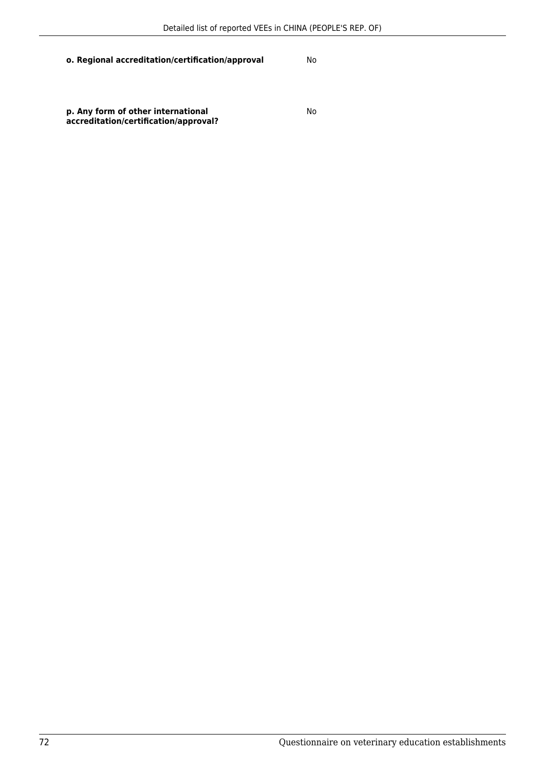## **o. Regional accreditation/certification/approval** No

**p. Any form of other international accreditation/certification/approval?**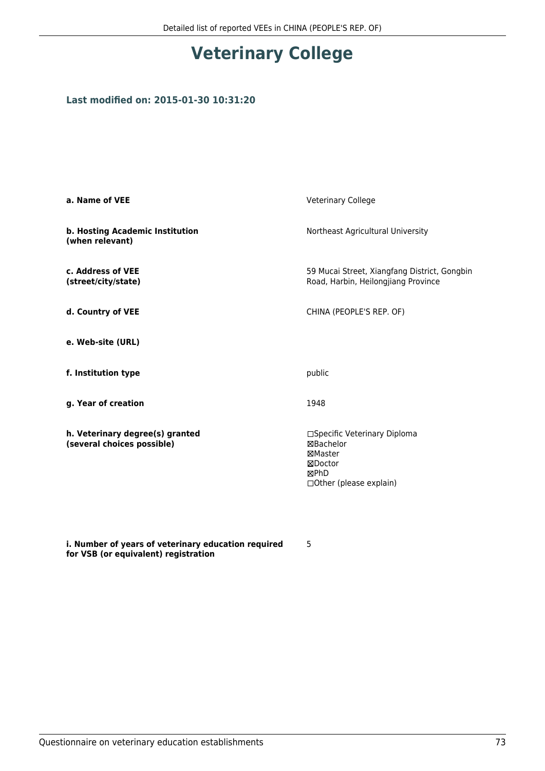## **Veterinary College**

#### **Last modified on: 2015-01-30 10:31:20**

| a. Name of VEE                                                | <b>Veterinary College</b>                                                                           |  |
|---------------------------------------------------------------|-----------------------------------------------------------------------------------------------------|--|
| b. Hosting Academic Institution<br>(when relevant)            | Northeast Agricultural University                                                                   |  |
| c. Address of VEE<br>(street/city/state)                      | 59 Mucai Street, Xiangfang District, Gongbin<br>Road, Harbin, Heilongjiang Province                 |  |
| d. Country of VEE                                             | CHINA (PEOPLE'S REP. OF)                                                                            |  |
| e. Web-site (URL)                                             |                                                                                                     |  |
| f. Institution type                                           | public                                                                                              |  |
| g. Year of creation                                           | 1948                                                                                                |  |
| h. Veterinary degree(s) granted<br>(several choices possible) | □Specific Veterinary Diploma<br>⊠Bachelor<br>⊠Master<br>⊠Doctor<br>⊠PhD<br>□ Other (please explain) |  |

**i. Number of years of veterinary education required for VSB (or equivalent) registration**

5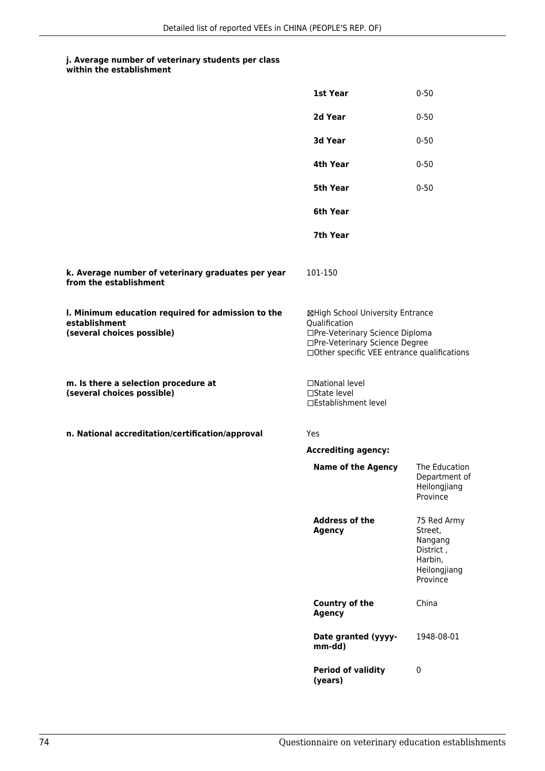### **j. Average number of veterinary students per class**

|                                                                                                   | 1st Year                                                                                                                                                              | $0 - 50$                                                                              |
|---------------------------------------------------------------------------------------------------|-----------------------------------------------------------------------------------------------------------------------------------------------------------------------|---------------------------------------------------------------------------------------|
|                                                                                                   | 2d Year                                                                                                                                                               | $0 - 50$                                                                              |
|                                                                                                   | 3d Year                                                                                                                                                               | $0 - 50$                                                                              |
|                                                                                                   | 4th Year                                                                                                                                                              | $0 - 50$                                                                              |
|                                                                                                   | 5th Year                                                                                                                                                              | $0 - 50$                                                                              |
|                                                                                                   | 6th Year                                                                                                                                                              |                                                                                       |
|                                                                                                   | 7th Year                                                                                                                                                              |                                                                                       |
| k. Average number of veterinary graduates per year<br>from the establishment                      | 101-150                                                                                                                                                               |                                                                                       |
| I. Minimum education required for admission to the<br>establishment<br>(several choices possible) | ⊠High School University Entrance<br>Qualification<br>□Pre-Veterinary Science Diploma<br>□Pre-Veterinary Science Degree<br>□Other specific VEE entrance qualifications |                                                                                       |
| m. Is there a selection procedure at<br>(several choices possible)                                | □National level<br>□State level<br>□Establishment level                                                                                                               |                                                                                       |
| n. National accreditation/certification/approval                                                  | Yes                                                                                                                                                                   |                                                                                       |
|                                                                                                   | <b>Accrediting agency:</b>                                                                                                                                            |                                                                                       |
|                                                                                                   | <b>Name of the Agency</b>                                                                                                                                             | The Education<br>Department of<br>Heilongjiang<br>Province                            |
|                                                                                                   | <b>Address of the</b><br><b>Agency</b>                                                                                                                                | 75 Red Army<br>Street,<br>Nangang<br>District,<br>Harbin,<br>Heilongjiang<br>Province |
|                                                                                                   | Country of the<br><b>Agency</b>                                                                                                                                       | China                                                                                 |
|                                                                                                   | Date granted (yyyy-<br>mm-dd)                                                                                                                                         | 1948-08-01                                                                            |
|                                                                                                   | <b>Period of validity</b><br>(years)                                                                                                                                  | 0                                                                                     |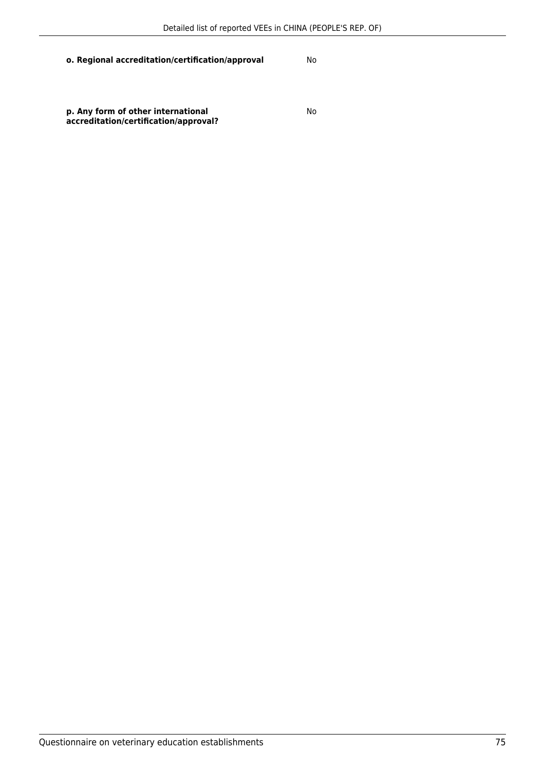#### **o. Regional accreditation/certification/approval** No

**p. Any form of other international accreditation/certification/approval?** No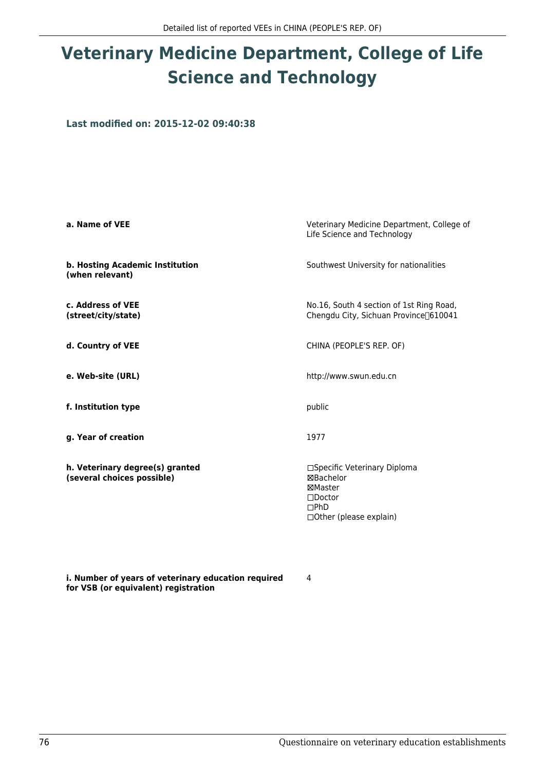# **Veterinary Medicine Department, College of Life Science and Technology**

**Last modified on: 2015-12-02 09:40:38**

| a. Name of VEE                                                | Veterinary Medicine Department, College of<br>Life Science and Technology                                          |
|---------------------------------------------------------------|--------------------------------------------------------------------------------------------------------------------|
| b. Hosting Academic Institution<br>(when relevant)            | Southwest University for nationalities                                                                             |
| c. Address of VEE<br>(street/city/state)                      | No.16, South 4 section of 1st Ring Road,<br>Chengdu City, Sichuan Province <sup>[610041</sup> ]                    |
| d. Country of VEE                                             | CHINA (PEOPLE'S REP. OF)                                                                                           |
| e. Web-site (URL)                                             | http://www.swun.edu.cn                                                                                             |
| f. Institution type                                           | public                                                                                                             |
| g. Year of creation                                           | 1977                                                                                                               |
| h. Veterinary degree(s) granted<br>(several choices possible) | □Specific Veterinary Diploma<br>⊠Bachelor<br>⊠Master<br>$\square$ Doctor<br>$\Box$ PhD<br>□ Other (please explain) |

4

**i. Number of years of veterinary education required for VSB (or equivalent) registration**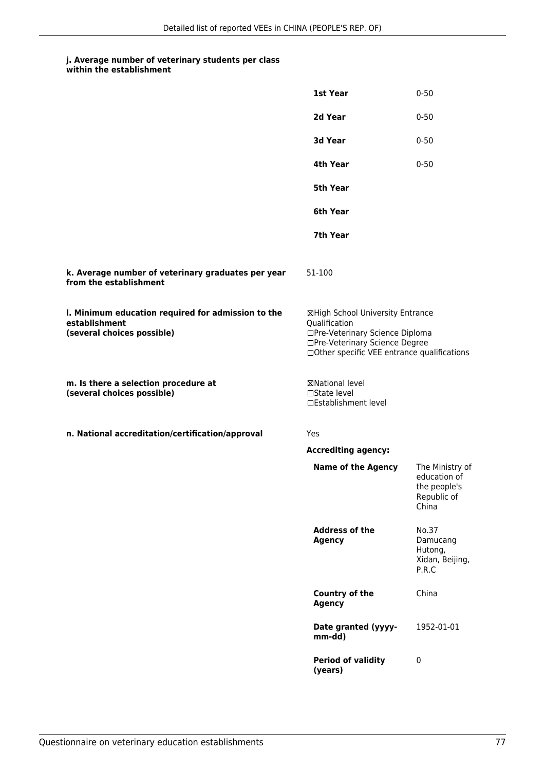#### **j. Average number of veterinary students per class within the establishment**

|                                                                                                   | 1st Year                                                                                                                                                              | $0 - 50$                                                                |
|---------------------------------------------------------------------------------------------------|-----------------------------------------------------------------------------------------------------------------------------------------------------------------------|-------------------------------------------------------------------------|
|                                                                                                   | 2d Year                                                                                                                                                               | $0 - 50$                                                                |
|                                                                                                   | 3d Year                                                                                                                                                               | $0 - 50$                                                                |
|                                                                                                   | 4th Year                                                                                                                                                              | $0 - 50$                                                                |
|                                                                                                   | 5th Year                                                                                                                                                              |                                                                         |
|                                                                                                   | 6th Year                                                                                                                                                              |                                                                         |
|                                                                                                   | 7th Year                                                                                                                                                              |                                                                         |
| k. Average number of veterinary graduates per year<br>from the establishment                      | 51-100                                                                                                                                                                |                                                                         |
| I. Minimum education required for admission to the<br>establishment<br>(several choices possible) | ⊠High School University Entrance<br>Qualification<br>□Pre-Veterinary Science Diploma<br>□Pre-Veterinary Science Degree<br>□Other specific VEE entrance qualifications |                                                                         |
| m. Is there a selection procedure at<br>(several choices possible)                                | ⊠National level<br>$\Box$ State level<br>□Establishment level                                                                                                         |                                                                         |
| n. National accreditation/certification/approval                                                  | Yes                                                                                                                                                                   |                                                                         |
|                                                                                                   | <b>Accrediting agency:</b>                                                                                                                                            |                                                                         |
|                                                                                                   | <b>Name of the Agency</b>                                                                                                                                             | The Ministry of<br>education of<br>the people's<br>Republic of<br>China |
|                                                                                                   | <b>Address of the</b><br><b>Agency</b>                                                                                                                                | No.37<br>Damucang<br>Hutong,<br>Xidan, Beijing,<br>P.R.C                |
|                                                                                                   | <b>Country of the</b><br><b>Agency</b>                                                                                                                                | China                                                                   |
|                                                                                                   | Date granted (yyyy-<br>mm-dd)                                                                                                                                         | 1952-01-01                                                              |
|                                                                                                   | <b>Period of validity</b><br>(years)                                                                                                                                  | 0                                                                       |